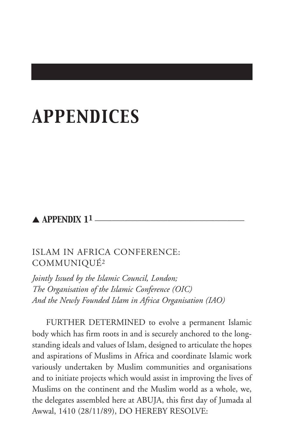# *APPENDICES*

# $\blacktriangle$  APPENDIX 11  $\equiv$

# ISLAM IN AFRICA CONFERENCE: COMMUNIQUÉ2

*Jointly Issued by the Islamic Council, London; The Organisation of the Islamic Conference (OIC) And the Newly Founded Islam in Africa Organisation (IAO)*

FURTHER DETERMINED to evolve a permanent Islamic body which has firm roots in and is securely anchored to the longstanding ideals and values of Islam, designed to articulate the hopes and aspirations of Muslims in Africa and coordinate Islamic work variously undertaken by Muslim communities and organisations and to initiate projects which would assist in improving the lives of Muslims on the continent and the Muslim world as a whole, we, the delegates assembled here at ABUJA, this first day of Jumada al Awwal, 1410 (28/11/89), DO HEREBY RESOLVE: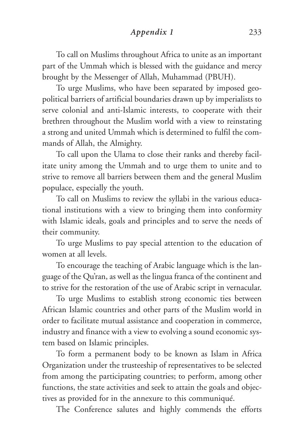*Appendix 1* 233

To call on Muslims throughout Africa to unite as an important part of the Ummah which is blessed with the guidance and mercy brought by the Messenger of Allah, Muhammad (PBUH).

To urge Muslims, who have been separated by imposed geopolitical barriers of artificial boundaries drawn up by imperialists to serve colonial and anti-Islamic interests, to cooperate with their brethren throughout the Muslim world with a view to reinstating a strong and united Ummah which is determined to fulfil the commands of Allah, the Almighty.

To call upon the Ulama to close their ranks and thereby facilitate unity among the Ummah and to urge them to unite and to strive to remove all barriers between them and the general Muslim populace, especially the youth.

To call on Muslims to review the syllabi in the various educational institutions with a view to bringing them into conformity with Islamic ideals, goals and principles and to serve the needs of their community.

To urge Muslims to pay special attention to the education of women at all levels.

To encourage the teaching of Arabic language which is the language of the Qu'ran, as well as the lingua franca of the continent and to strive for the restoration of the use of Arabic script in vernacular.

To urge Muslims to establish strong economic ties between African Islamic countries and other parts of the Muslim world in order to facilitate mutual assistance and cooperation in commerce, industry and finance with a view to evolving a sound economic system based on Islamic principles.

To form a permanent body to be known as Islam in Africa Organization under the trusteeship of representatives to be selected from among the participating countries; to perform, among other functions, the state activities and seek to attain the goals and objectives as provided for in the annexure to this communiqué.

The Conference salutes and highly commends the efforts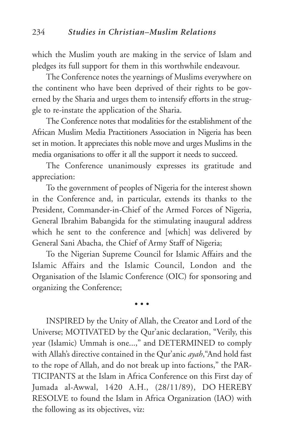which the Muslim youth are making in the service of Islam and pledges its full support for them in this worthwhile endeavour.

The Conference notes the yearnings of Muslims everywhere on the continent who have been deprived of their rights to be governed by the Sharia and urges them to intensify efforts in the struggle to re-instate the application of the Sharia.

The Conference notes that modalities for the establishment of the African Muslim Media Practitioners Association in Nigeria has been set in motion. It appreciates this noble move and urges Muslims in the media organisations to offer it all the support it needs to succeed.

The Conference unanimously expresses its gratitude and appreciation:

To the government of peoples of Nigeria for the interest shown in the Conference and, in particular, extends its thanks to the President, Commander-in-Chief of the Armed Forces of Nigeria, General Ibrahim Babangida for the stimulating inaugural address which he sent to the conference and [which] was delivered by General Sani Abacha, the Chief of Army Staff of Nigeria;

To the Nigerian Supreme Council for Islamic Affairs and the Islamic Affairs and the Islamic Council, London and the Organisation of the Islamic Conference (OIC) for sponsoring and organizing the Conference;

• • •

INSPIRED by the Unity of Allah, the Creator and Lord of the Universe; MOTIVATED by the Qur'anic declaration, "Verily, this year (Islamic) Ummah is one...," and DETERMINED to comply with Allah's directive contained in the Qur'anic *ayah*,"And hold fast to the rope of Allah, and do not break up into factions," the PAR-TICIPANTS at the Islam in Africa Conference on this First day of Jumada al-Awwal, 1420 A.H., (28/11/89), DO HEREBY RESOLVE to found the Islam in Africa Organization (IAO) with the following as its objectives, viz: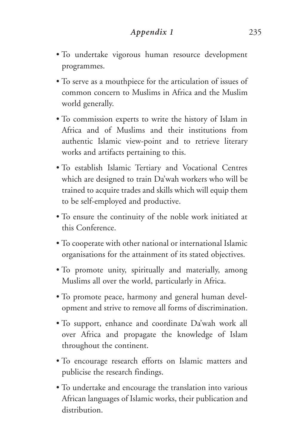- To undertake vigorous human resource development programmes.
- To serve as a mouthpiece for the articulation of issues of common concern to Muslims in Africa and the Muslim world generally.
- To commission experts to write the history of Islam in Africa and of Muslims and their institutions from authentic Islamic view-point and to retrieve literary works and artifacts pertaining to this.
- To establish Islamic Tertiary and Vocational Centres which are designed to train Da'wah workers who will be trained to acquire trades and skills which will equip them to be self-employed and productive.
- To ensure the continuity of the noble work initiated at this Conference.
- To cooperate with other national or international Islamic organisations for the attainment of its stated objectives.
- To promote unity, spiritually and materially, among Muslims all over the world, particularly in Africa.
- To promote peace, harmony and general human development and strive to remove all forms of discrimination.
- To support, enhance and coordinate Da'wah work all over Africa and propagate the knowledge of Islam throughout the continent.
- To encourage research efforts on Islamic matters and publicise the research findings.
- To undertake and encourage the translation into various African languages of Islamic works, their publication and distribution.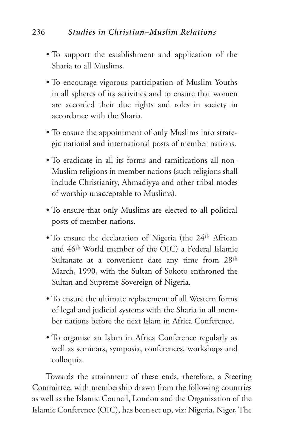# 236 *Studies in Christian–Muslim Relations*

- To support the establishment and application of the Sharia to all Muslims.
- To encourage vigorous participation of Muslim Youths in all spheres of its activities and to ensure that women are accorded their due rights and roles in society in accordance with the Sharia.
- To ensure the appointment of only Muslims into strategic national and international posts of member nations.
- To eradicate in all its forms and ramifications all non-Muslim religions in member nations (such religions shall include Christianity, Ahmadiyya and other tribal modes of worship unacceptable to Muslims).
- To ensure that only Muslims are elected to all political posts of member nations.
- To ensure the declaration of Nigeria (the 24<sup>th</sup> African and 46th World member of the OIC) a Federal Islamic Sultanate at a convenient date any time from 28<sup>th</sup> March, 1990, with the Sultan of Sokoto enthroned the Sultan and Supreme Sovereign of Nigeria.
- To ensure the ultimate replacement of all Western forms of legal and judicial systems with the Sharia in all member nations before the next Islam in Africa Conference.
- To organise an Islam in Africa Conference regularly as well as seminars, symposia, conferences, workshops and colloquia.

Towards the attainment of these ends, therefore, a Steering Committee, with membership drawn from the following countries as well as the Islamic Council, London and the Organisation of the Islamic Conference (OIC), has been set up, viz: Nigeria, Niger, The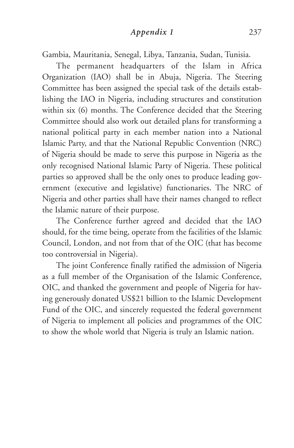Gambia, Mauritania, Senegal, Libya, Tanzania, Sudan, Tunisia.

The permanent headquarters of the Islam in Africa Organization (IAO) shall be in Abuja, Nigeria. The Steering Committee has been assigned the special task of the details establishing the IAO in Nigeria, including structures and constitution within six (6) months. The Conference decided that the Steering Committee should also work out detailed plans for transforming a national political party in each member nation into a National Islamic Party, and that the National Republic Convention (NRC) of Nigeria should be made to serve this purpose in Nigeria as the only recognised National Islamic Party of Nigeria. These political parties so approved shall be the only ones to produce leading government (executive and legislative) functionaries. The NRC of Nigeria and other parties shall have their names changed to reflect the Islamic nature of their purpose.

The Conference further agreed and decided that the IAO should, for the time being, operate from the facilities of the Islamic Council, London, and not from that of the OIC (that has become too controversial in Nigeria).

The joint Conference finally ratified the admission of Nigeria as a full member of the Organisation of the Islamic Conference, OIC, and thanked the government and people of Nigeria for having generously donated US\$21 billion to the Islamic Development Fund of the OIC, and sincerely requested the federal government of Nigeria to implement all policies and programmes of the OIC to show the whole world that Nigeria is truly an Islamic nation.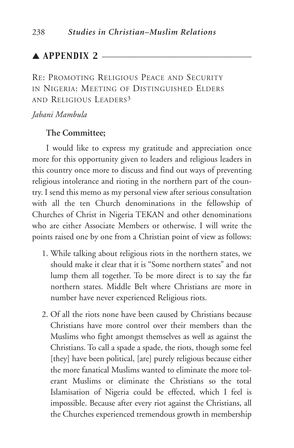# $\blacktriangle$  APPENDIX 2  $\equiv$

RE: PROMOTING RELIGIOUS PEACE AND SECURITY IN NIGERIA: MEETING OF DISTINGUISHED ELDERS AND RELIGIOUS LEADERS3

## *Jabani Mambula*

#### **The Committee;**

I would like to express my gratitude and appreciation once more for this opportunity given to leaders and religious leaders in this country once more to discuss and find out ways of preventing religious intolerance and rioting in the northern part of the country. I send this memo as my personal view after serious consultation with all the ten Church denominations in the fellowship of Churches of Christ in Nigeria TEKAN and other denominations who are either Associate Members or otherwise. I will write the points raised one by one from a Christian point of view as follows:

- 1. While talking about religious riots in the northern states, we should make it clear that it is "Some northern states" and not lump them all together. To be more direct is to say the far northern states. Middle Belt where Christians are more in number have never experienced Religious riots.
- 2. Of all the riots none have been caused by Christians because Christians have more control over their members than the Muslims who fight amongst themselves as well as against the Christians. To call a spade a spade, the riots, though some feel [they] have been political, [are] purely religious because either the more fanatical Muslims wanted to eliminate the more tolerant Muslims or eliminate the Christians so the total Islamisation of Nigeria could be effected, which I feel is impossible. Because after every riot against the Christians, all the Churches experienced tremendous growth in membership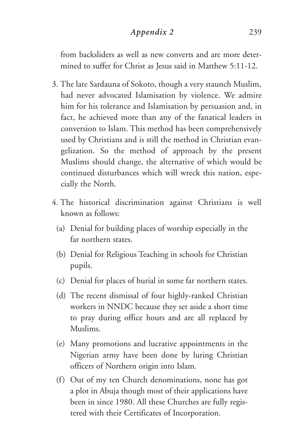# *Appendix 2* 239

from backsliders as well as new converts and are more determined to suffer for Christ as Jesus said in Matthew 5:11-12.

- 3. The late Sardauna of Sokoto, though a very staunch Muslim, had never advocated Islamisation by violence. We admire him for his tolerance and Islamisation by persuasion and, in fact, he achieved more than any of the fanatical leaders in conversion to Islam. This method has been comprehensively used by Christians and is still the method in Christian evangelization. So the method of approach by the present Muslims should change, the alternative of which would be continued disturbances which will wreck this nation, especially the North.
- 4. The historical discrimination against Christians is well known as follows:
	- (a) Denial for building places of worship especially in the far northern states.
	- (b) Denial for Religious Teaching in schools for Christian pupils.
	- (c) Denial for places of burial in some far northern states.
	- (d) The recent dismissal of four highly-ranked Christian workers in NNDC because they set aside a short time to pray during office hours and are all replaced by Muslims.
	- (e) Many promotions and lucrative appointments in the Nigerian army have been done by luring Christian officers of Northern origin into Islam.
	- (f) Out of my ten Church denominations, none has got a plot in Abuja though most of their applications have been in since 1980. All these Churches are fully registered with their Certificates of Incorporation.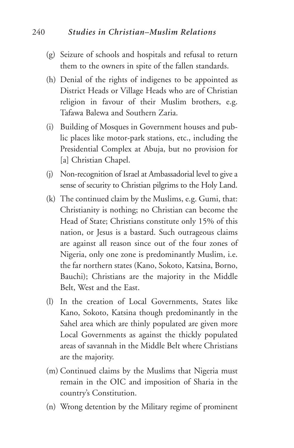## 240 *Studies in Christian–Muslim Relations*

- (g) Seizure of schools and hospitals and refusal to return them to the owners in spite of the fallen standards.
- (h) Denial of the rights of indigenes to be appointed as District Heads or Village Heads who are of Christian religion in favour of their Muslim brothers, e.g. Tafawa Balewa and Southern Zaria.
- (i) Building of Mosques in Government houses and public places like motor-park stations, etc., including the Presidential Complex at Abuja, but no provision for [a] Christian Chapel.
- (j) Non-recognition of Israel at Ambassadorial level to give a sense of security to Christian pilgrims to the Holy Land.
- (k) The continued claim by the Muslims, e.g. Gumi, that: Christianity is nothing; no Christian can become the Head of State; Christians constitute only 15% of this nation, or Jesus is a bastard. Such outrageous claims are against all reason since out of the four zones of Nigeria, only one zone is predominantly Muslim, i.e. the far northern states (Kano, Sokoto, Katsina, Borno, Bauchi); Christians are the majority in the Middle Belt, West and the East.
- (l) In the creation of Local Governments, States like Kano, Sokoto, Katsina though predominantly in the Sahel area which are thinly populated are given more Local Governments as against the thickly populated areas of savannah in the Middle Belt where Christians are the majority.
- (m) Continued claims by the Muslims that Nigeria must remain in the OIC and imposition of Sharia in the country's Constitution.
- (n) Wrong detention by the Military regime of prominent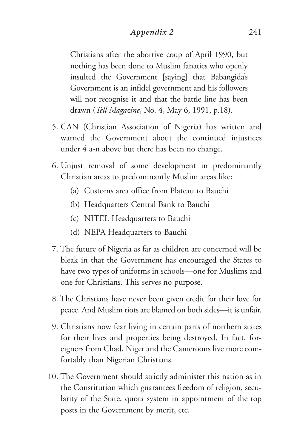# *Appendix 2* 241

Christians after the abortive coup of April 1990, but nothing has been done to Muslim fanatics who openly insulted the Government [saying] that Babangida's Government is an infidel government and his followers will not recognise it and that the battle line has been drawn (*Tell Magazine*, No. 4, May 6, 1991, p.18).

- 5. CAN (Christian Association of Nigeria) has written and warned the Government about the continued injustices under 4 a-n above but there has been no change.
- 6. Unjust removal of some development in predominantly Christian areas to predominantly Muslim areas like:
	- (a) Customs area office from Plateau to Bauchi
	- (b) Headquarters Central Bank to Bauchi
	- (c) NITEL Headquarters to Bauchi
	- (d) NEPA Headquarters to Bauchi
- 7. The future of Nigeria as far as children are concerned will be bleak in that the Government has encouraged the States to have two types of uniforms in schools—one for Muslims and one for Christians. This serves no purpose.
- 8. The Christians have never been given credit for their love for peace. And Muslim riots are blamed on both sides—it is unfair.
- 9. Christians now fear living in certain parts of northern states for their lives and properties being destroyed. In fact, foreigners from Chad, Niger and the Cameroons live more comfortably than Nigerian Christians.
- 10. The Government should strictly administer this nation as in the Constitution which guarantees freedom of religion, secularity of the State, quota system in appointment of the top posts in the Government by merit, etc.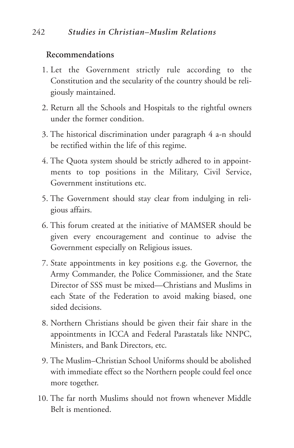# **Recommendations**

- 1. Let the Government strictly rule according to the Constitution and the secularity of the country should be religiously maintained.
- 2. Return all the Schools and Hospitals to the rightful owners under the former condition.
- 3. The historical discrimination under paragraph 4 a-n should be rectified within the life of this regime.
- 4. The Quota system should be strictly adhered to in appointments to top positions in the Military, Civil Service, Government institutions etc.
- 5. The Government should stay clear from indulging in religious affairs.
- 6. This forum created at the initiative of MAMSER should be given every encouragement and continue to advise the Government especially on Religious issues.
- 7. State appointments in key positions e.g. the Governor, the Army Commander, the Police Commissioner, and the State Director of SSS must be mixed—Christians and Muslims in each State of the Federation to avoid making biased, one sided decisions.
- 8. Northern Christians should be given their fair share in the appointments in ICCA and Federal Parastatals like NNPC, Ministers, and Bank Directors, etc.
- 9. The Muslim–Christian School Uniforms should be abolished with immediate effect so the Northern people could feel once more together.
- 10. The far north Muslims should not frown whenever Middle Belt is mentioned.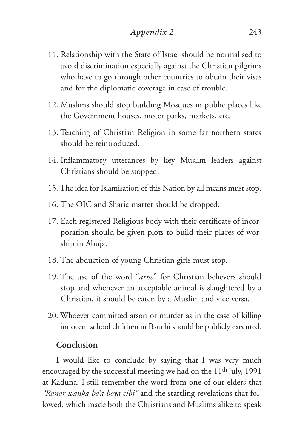- 11. Relationship with the State of Israel should be normalised to avoid discrimination especially against the Christian pilgrims who have to go through other countries to obtain their visas and for the diplomatic coverage in case of trouble.
- 12. Muslims should stop building Mosques in public places like the Government houses, motor parks, markets, etc.
- 13. Teaching of Christian Religion in some far northern states should be reintroduced.
- 14. Inflammatory utterances by key Muslim leaders against Christians should be stopped.
- 15. The idea for Islamisation of this Nation by all means must stop.
- 16. The OIC and Sharia matter should be dropped.
- 17. Each registered Religious body with their certificate of incorporation should be given plots to build their places of worship in Abuja.
- 18. The abduction of young Christian girls must stop.
- 19. The use of the word "*arne*" for Christian believers should stop and whenever an acceptable animal is slaughtered by a Christian, it should be eaten by a Muslim and vice versa.
- 20. Whoever committed arson or murder as in the case of killing innocent school children in Bauchi should be publicly executed.

#### **Conclusion**

I would like to conclude by saying that I was very much encouraged by the successful meeting we had on the 11th July, 1991 at Kaduna. I still remember the word from one of our elders that *"Ranar wanka ba'a boya cibi"* and the startling revelations that followed, which made both the Christians and Muslims alike to speak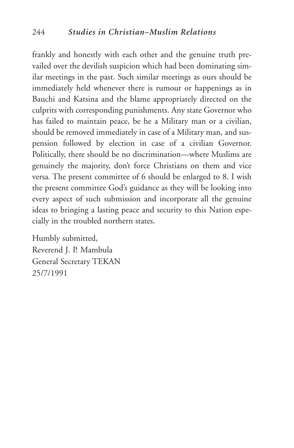frankly and honestly with each other and the genuine truth prevailed over the devilish suspicion which had been dominating similar meetings in the past. Such similar meetings as ours should be immediately held whenever there is rumour or happenings as in Bauchi and Katsina and the blame appropriately directed on the culprits with corresponding punishments. Any state Governor who has failed to maintain peace, be he a Military man or a civilian, should be removed immediately in case of a Military man, and suspension followed by election in case of a civilian Governor. Politically, there should be no discrimination—where Muslims are genuinely the majority, don't force Christians on them and vice versa. The present committee of 6 should be enlarged to 8. I wish the present committee God's guidance as they will be looking into every aspect of such submission and incorporate all the genuine ideas to bringing a lasting peace and security to this Nation especially in the troubled northern states.

Humbly submitted, Reverend J. P. Mambula General Secretary TEKAN 25/7/1991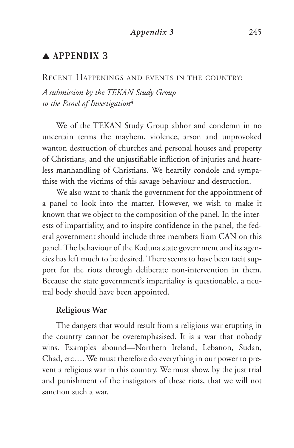# $\triangle$  APPENDIX 3

#### RECENT HAPPENINGS AND EVENTS IN THE COUNTRY:

*A submission by the TEKAN Study Group to the Panel of Investigation*<sup>4</sup>

We of the TEKAN Study Group abhor and condemn in no uncertain terms the mayhem, violence, arson and unprovoked wanton destruction of churches and personal houses and property of Christians, and the unjustifiable infliction of injuries and heartless manhandling of Christians. We heartily condole and sympathise with the victims of this savage behaviour and destruction.

We also want to thank the government for the appointment of a panel to look into the matter. However, we wish to make it known that we object to the composition of the panel. In the interests of impartiality, and to inspire confidence in the panel, the federal government should include three members from CAN on this panel. The behaviour of the Kaduna state government and its agencies has left much to be desired. There seems to have been tacit support for the riots through deliberate non-intervention in them. Because the state government's impartiality is questionable, a neutral body should have been appointed.

## **Religious War**

The dangers that would result from a religious war erupting in the country cannot be overemphasised. It is a war that nobody wins. Examples abound—Northern Ireland, Lebanon, Sudan, Chad, etc…. We must therefore do everything in our power to prevent a religious war in this country. We must show, by the just trial and punishment of the instigators of these riots, that we will not sanction such a war.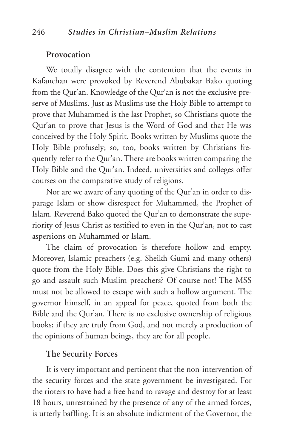#### **Provocation**

We totally disagree with the contention that the events in Kafanchan were provoked by Reverend Abubakar Bako quoting from the Qur'an. Knowledge of the Qur'an is not the exclusive preserve of Muslims. Just as Muslims use the Holy Bible to attempt to prove that Muhammed is the last Prophet, so Christians quote the Qur'an to prove that Jesus is the Word of God and that He was conceived by the Holy Spirit. Books written by Muslims quote the Holy Bible profusely; so, too, books written by Christians frequently refer to the Qur'an. There are books written comparing the Holy Bible and the Qur'an. Indeed, universities and colleges offer courses on the comparative study of religions.

Nor are we aware of any quoting of the Qur'an in order to disparage Islam or show disrespect for Muhammed, the Prophet of Islam. Reverend Bako quoted the Qur'an to demonstrate the superiority of Jesus Christ as testified to even in the Qur'an, not to cast aspersions on Muhammed or Islam.

The claim of provocation is therefore hollow and empty. Moreover, Islamic preachers (e.g. Sheikh Gumi and many others) quote from the Holy Bible. Does this give Christians the right to go and assault such Muslim preachers? Of course not! The MSS must not be allowed to escape with such a hollow argument. The governor himself, in an appeal for peace, quoted from both the Bible and the Qur'an. There is no exclusive ownership of religious books; if they are truly from God, and not merely a production of the opinions of human beings, they are for all people.

## **The Security Forces**

It is very important and pertinent that the non-intervention of the security forces and the state government be investigated. For the rioters to have had a free hand to ravage and destroy for at least 18 hours, unrestrained by the presence of any of the armed forces, is utterly baffling. It is an absolute indictment of the Governor, the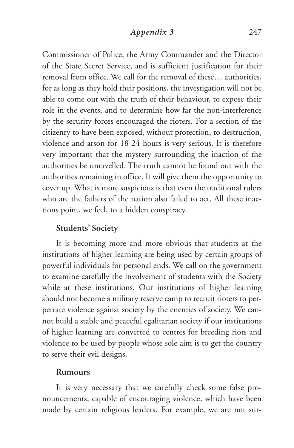## *Appendix 3* 247

Commissioner of Police, the Army Commander and the Director of the State Secret Service, and is sufficient justification for their removal from office. We call for the removal of these… authorities, for as long as they hold their positions, the investigation will not be able to come out with the truth of their behaviour, to expose their role in the events, and to determine how far the non-interference by the security forces encouraged the rioters. For a section of the citizenry to have been exposed, without protection, to destruction, violence and arson for 18-24 hours is very serious. It is therefore very important that the mystery surrounding the inaction of the authorities be unravelled. The truth cannot be found out with the authorities remaining in office. It will give them the opportunity to cover up. What is more suspicious is that even the traditional rulers who are the fathers of the nation also failed to act. All these inactions point, we feel, to a hidden conspiracy.

## **Students' Society**

It is becoming more and more obvious that students at the institutions of higher learning are being used by certain groups of powerful individuals for personal ends. We call on the government to examine carefully the involvement of students with the Society while at these institutions. Our institutions of higher learning should not become a military reserve camp to recruit rioters to perpetrate violence against society by the enemies of society. We cannot build a stable and peaceful egalitarian society if our institutions of higher learning are converted to centres for breeding riots and violence to be used by people whose sole aim is to get the country to serve their evil designs.

#### **Rumours**

It is very necessary that we carefully check some false pronouncements, capable of encouraging violence, which have been made by certain religious leaders. For example, we are not sur-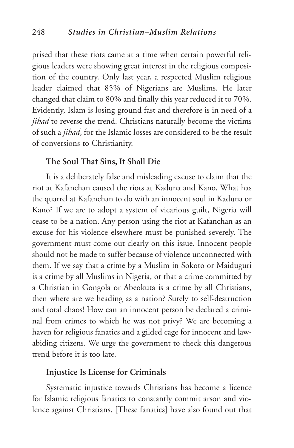prised that these riots came at a time when certain powerful religious leaders were showing great interest in the religious composition of the country. Only last year, a respected Muslim religious leader claimed that 85% of Nigerians are Muslims. He later changed that claim to 80% and finally this year reduced it to 70%. Evidently, Islam is losing ground fast and therefore is in need of a *jihad* to reverse the trend. Christians naturally become the victims of such a *jihad*, for the Islamic losses are considered to be the result of conversions to Christianity.

#### **The Soul That Sins, It Shall Die**

It is a deliberately false and misleading excuse to claim that the riot at Kafanchan caused the riots at Kaduna and Kano. What has the quarrel at Kafanchan to do with an innocent soul in Kaduna or Kano? If we are to adopt a system of vicarious guilt, Nigeria will cease to be a nation. Any person using the riot at Kafanchan as an excuse for his violence elsewhere must be punished severely. The government must come out clearly on this issue. Innocent people should not be made to suffer because of violence unconnected with them. If we say that a crime by a Muslim in Sokoto or Maiduguri is a crime by all Muslims in Nigeria, or that a crime committed by a Christian in Gongola or Abeokuta is a crime by all Christians, then where are we heading as a nation? Surely to self-destruction and total chaos! How can an innocent person be declared a criminal from crimes to which he was not privy? We are becoming a haven for religious fanatics and a gilded cage for innocent and lawabiding citizens. We urge the government to check this dangerous trend before it is too late.

## **Injustice Is License for Criminals**

Systematic injustice towards Christians has become a licence for Islamic religious fanatics to constantly commit arson and violence against Christians. [These fanatics] have also found out that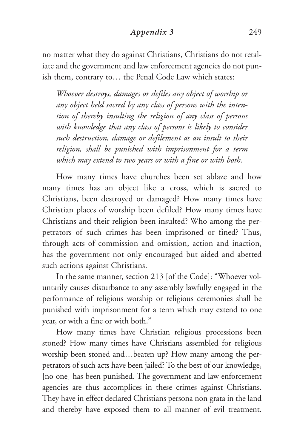## *Appendix 3* 249

no matter what they do against Christians, Christians do not retaliate and the government and law enforcement agencies do not punish them, contrary to… the Penal Code Law which states:

*Whoever destroys, damages or defiles any object of worship or any object held sacred by any class of persons with the intention of thereby insulting the religion of any class of persons with knowledge that any class of persons is likely to consider such destruction, damage or defilement as an insult to their religion, shall be punished with imprisonment for a term which may extend to two years or with a fine or with both.*

How many times have churches been set ablaze and how many times has an object like a cross, which is sacred to Christians, been destroyed or damaged? How many times have Christian places of worship been defiled? How many times have Christians and their religion been insulted? Who among the perpetrators of such crimes has been imprisoned or fined? Thus, through acts of commission and omission, action and inaction, has the government not only encouraged but aided and abetted such actions against Christians.

In the same manner, section 213 [of the Code]: "Whoever voluntarily causes disturbance to any assembly lawfully engaged in the performance of religious worship or religious ceremonies shall be punished with imprisonment for a term which may extend to one year, or with a fine or with both."

How many times have Christian religious processions been stoned? How many times have Christians assembled for religious worship been stoned and…beaten up? How many among the perpetrators of such acts have been jailed? To the best of our knowledge, [no one] has been punished. The government and law enforcement agencies are thus accomplices in these crimes against Christians. They have in effect declared Christians persona non grata in the land and thereby have exposed them to all manner of evil treatment.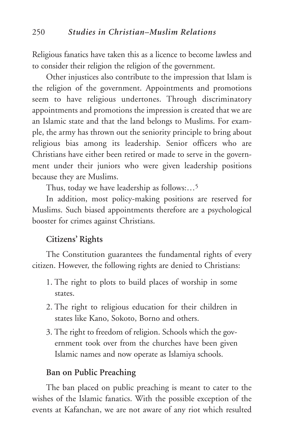250 *Studies in Christian–Muslim Relations*

Religious fanatics have taken this as a licence to become lawless and to consider their religion the religion of the government.

Other injustices also contribute to the impression that Islam is the religion of the government. Appointments and promotions seem to have religious undertones. Through discriminatory appointments and promotions the impression is created that we are an Islamic state and that the land belongs to Muslims. For example, the army has thrown out the seniority principle to bring about religious bias among its leadership. Senior officers who are Christians have either been retired or made to serve in the government under their juniors who were given leadership positions because they are Muslims.

Thus, today we have leadership as follows:…5

In addition, most policy-making positions are reserved for Muslims. Such biased appointments therefore are a psychological booster for crimes against Christians.

## **Citizens' Rights**

The Constitution guarantees the fundamental rights of every citizen. However, the following rights are denied to Christians:

- 1. The right to plots to build places of worship in some states.
- 2. The right to religious education for their children in states like Kano, Sokoto, Borno and others.
- 3. The right to freedom of religion. Schools which the government took over from the churches have been given Islamic names and now operate as Islamiya schools.

## **Ban on Public Preaching**

The ban placed on public preaching is meant to cater to the wishes of the Islamic fanatics. With the possible exception of the events at Kafanchan, we are not aware of any riot which resulted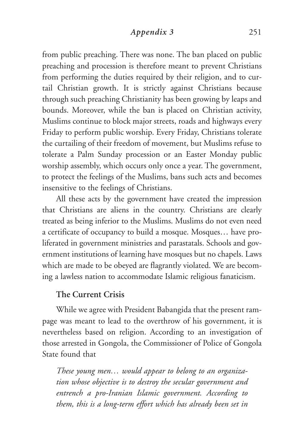from public preaching. There was none. The ban placed on public preaching and procession is therefore meant to prevent Christians from performing the duties required by their religion, and to curtail Christian growth. It is strictly against Christians because through such preaching Christianity has been growing by leaps and bounds. Moreover, while the ban is placed on Christian activity, Muslims continue to block major streets, roads and highways every Friday to perform public worship. Every Friday, Christians tolerate the curtailing of their freedom of movement, but Muslims refuse to tolerate a Palm Sunday procession or an Easter Monday public worship assembly, which occurs only once a year. The government, to protect the feelings of the Muslims, bans such acts and becomes insensitive to the feelings of Christians.

All these acts by the government have created the impression that Christians are aliens in the country. Christians are clearly treated as being inferior to the Muslims. Muslims do not even need a certificate of occupancy to build a mosque. Mosques… have proliferated in government ministries and parastatals. Schools and government institutions of learning have mosques but no chapels. Laws which are made to be obeyed are flagrantly violated. We are becoming a lawless nation to accommodate Islamic religious fanaticism.

#### **The Current Crisis**

While we agree with President Babangida that the present rampage was meant to lead to the overthrow of his government, it is nevertheless based on religion. According to an investigation of those arrested in Gongola, the Commissioner of Police of Gongola State found that

*These young men… would appear to belong to an organization whose objective is to destroy the secular government and entrench a pro-Iranian Islamic government. According to them, this is a long-term effort which has already been set in*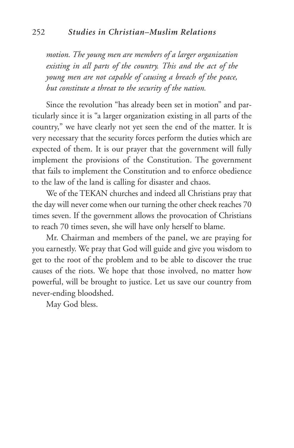#### 252 *Studies in Christian–Muslim Relations*

*motion. The young men are members of a larger organization existing in all parts of the country. This and the act of the young men are not capable of causing a breach of the peace, but constitute a threat to the security of the nation.*

Since the revolution "has already been set in motion" and particularly since it is "a larger organization existing in all parts of the country," we have clearly not yet seen the end of the matter. It is very necessary that the security forces perform the duties which are expected of them. It is our prayer that the government will fully implement the provisions of the Constitution. The government that fails to implement the Constitution and to enforce obedience to the law of the land is calling for disaster and chaos.

We of the TEKAN churches and indeed all Christians pray that the day will never come when our turning the other cheek reaches 70 times seven. If the government allows the provocation of Christians to reach 70 times seven, she will have only herself to blame.

Mr. Chairman and members of the panel, we are praying for you earnestly. We pray that God will guide and give you wisdom to get to the root of the problem and to be able to discover the true causes of the riots. We hope that those involved, no matter how powerful, will be brought to justice. Let us save our country from never-ending bloodshed.

May God bless.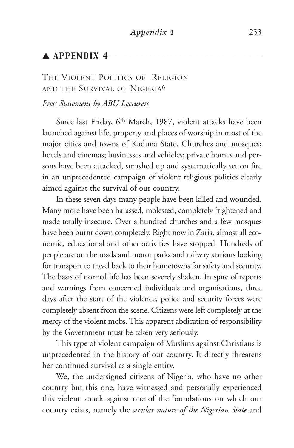# $\blacktriangle$  APPENDIX 4  $\equiv$

# THE VIOLENT POLITICS OF RELIGION AND THE SURVIVAL OF NIGERIA6

#### *Press Statement by ABU Lecturers*

Since last Friday, 6th March, 1987, violent attacks have been launched against life, property and places of worship in most of the major cities and towns of Kaduna State. Churches and mosques; hotels and cinemas; businesses and vehicles; private homes and persons have been attacked, smashed up and systematically set on fire in an unprecedented campaign of violent religious politics clearly aimed against the survival of our country.

In these seven days many people have been killed and wounded. Many more have been harassed, molested, completely frightened and made totally insecure. Over a hundred churches and a few mosques have been burnt down completely. Right now in Zaria, almost all economic, educational and other activities have stopped. Hundreds of people are on the roads and motor parks and railway stations looking for transport to travel back to their hometowns for safety and security. The basis of normal life has been severely shaken. In spite of reports and warnings from concerned individuals and organisations, three days after the start of the violence, police and security forces were completely absent from the scene. Citizens were left completely at the mercy of the violent mobs. This apparent abdication of responsibility by the Government must be taken very seriously.

This type of violent campaign of Muslims against Christians is unprecedented in the history of our country. It directly threatens her continued survival as a single entity.

We, the undersigned citizens of Nigeria, who have no other country but this one, have witnessed and personally experienced this violent attack against one of the foundations on which our country exists, namely the *secular nature of the Nigerian State* and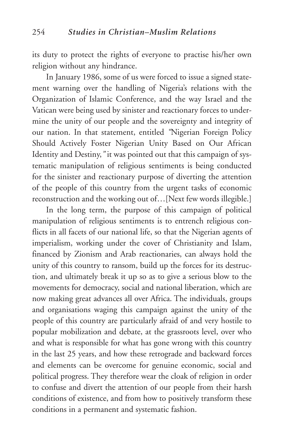its duty to protect the rights of everyone to practise his/her own religion without any hindrance.

In January 1986, some of us were forced to issue a signed statement warning over the handling of Nigeria's relations with the Organization of Islamic Conference, and the way Israel and the Vatican were being used by sinister and reactionary forces to undermine the unity of our people and the sovereignty and integrity of our nation. In that statement, entitled *"*Nigerian Foreign Policy Should Actively Foster Nigerian Unity Based on Our African Identity and Destiny,*"* it was pointed out that this campaign of systematic manipulation of religious sentiments is being conducted for the sinister and reactionary purpose of diverting the attention of the people of this country from the urgent tasks of economic reconstruction and the working out of…[Next few words illegible.]

In the long term, the purpose of this campaign of political manipulation of religious sentiments is to entrench religious conflicts in all facets of our national life, so that the Nigerian agents of imperialism, working under the cover of Christianity and Islam, financed by Zionism and Arab reactionaries, can always hold the unity of this country to ransom, build up the forces for its destruction, and ultimately break it up so as to give a serious blow to the movements for democracy, social and national liberation, which are now making great advances all over Africa. The individuals, groups and organisations waging this campaign against the unity of the people of this country are particularly afraid of and very hostile to popular mobilization and debate, at the grassroots level, over who and what is responsible for what has gone wrong with this country in the last 25 years, and how these retrograde and backward forces and elements can be overcome for genuine economic, social and political progress. They therefore wear the cloak of religion in order to confuse and divert the attention of our people from their harsh conditions of existence, and from how to positively transform these conditions in a permanent and systematic fashion.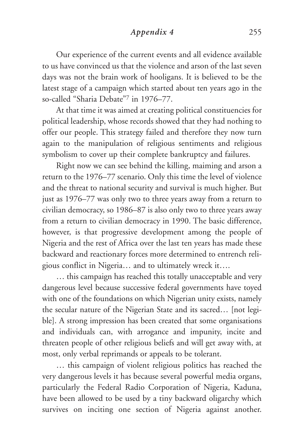*Appendix 4* 255

Our experience of the current events and all evidence available to us have convinced us that the violence and arson of the last seven days was not the brain work of hooligans. It is believed to be the latest stage of a campaign which started about ten years ago in the so-called "Sharia Debate"7 in 1976–77.

At that time it was aimed at creating political constituencies for political leadership, whose records showed that they had nothing to offer our people. This strategy failed and therefore they now turn again to the manipulation of religious sentiments and religious symbolism to cover up their complete bankruptcy and failures.

Right now we can see behind the killing, maiming and arson a return to the 1976–77 scenario. Only this time the level of violence and the threat to national security and survival is much higher. But just as 1976–77 was only two to three years away from a return to civilian democracy, so 1986–87 is also only two to three years away from a return to civilian democracy in 1990. The basic difference, however, is that progressive development among the people of Nigeria and the rest of Africa over the last ten years has made these backward and reactionary forces more determined to entrench religious conflict in Nigeria… and to ultimately wreck it….

… this campaign has reached this totally unacceptable and very dangerous level because successive federal governments have toyed with one of the foundations on which Nigerian unity exists, namely the secular nature of the Nigerian State and its sacred… [not legible]. A strong impression has been created that some organisations and individuals can, with arrogance and impunity, incite and threaten people of other religious beliefs and will get away with, at most, only verbal reprimands or appeals to be tolerant.

… this campaign of violent religious politics has reached the very dangerous levels it has because several powerful media organs, particularly the Federal Radio Corporation of Nigeria, Kaduna, have been allowed to be used by a tiny backward oligarchy which survives on inciting one section of Nigeria against another.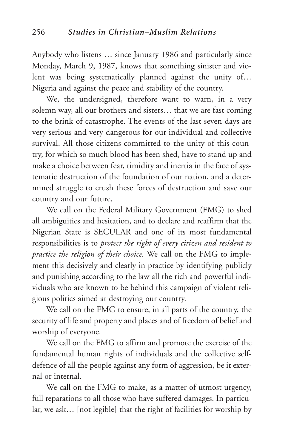Anybody who listens … since January 1986 and particularly since Monday, March 9, 1987, knows that something sinister and violent was being systematically planned against the unity of… Nigeria and against the peace and stability of the country.

We, the undersigned, therefore want to warn, in a very solemn way, all our brothers and sisters… that we are fast coming to the brink of catastrophe. The events of the last seven days are very serious and very dangerous for our individual and collective survival. All those citizens committed to the unity of this country, for which so much blood has been shed, have to stand up and make a choice between fear, timidity and inertia in the face of systematic destruction of the foundation of our nation, and a determined struggle to crush these forces of destruction and save our country and our future.

We call on the Federal Military Government (FMG) to shed all ambiguities and hesitation, and to declare and reaffirm that the Nigerian State is SECULAR and one of its most fundamental responsibilities is to *protect the right of every citizen and resident to practice the religion of their choice.* We call on the FMG to implement this decisively and clearly in practice by identifying publicly and punishing according to the law all the rich and powerful individuals who are known to be behind this campaign of violent religious politics aimed at destroying our country.

We call on the FMG to ensure, in all parts of the country, the security of life and property and places and of freedom of belief and worship of everyone.

We call on the FMG to affirm and promote the exercise of the fundamental human rights of individuals and the collective selfdefence of all the people against any form of aggression, be it external or internal.

We call on the FMG to make, as a matter of utmost urgency, full reparations to all those who have suffered damages. In particular, we ask… [not legible] that the right of facilities for worship by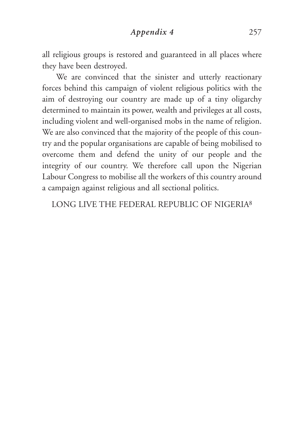*Appendix 4* 257

all religious groups is restored and guaranteed in all places where they have been destroyed.

We are convinced that the sinister and utterly reactionary forces behind this campaign of violent religious politics with the aim of destroying our country are made up of a tiny oligarchy determined to maintain its power, wealth and privileges at all costs, including violent and well-organised mobs in the name of religion. We are also convinced that the majority of the people of this country and the popular organisations are capable of being mobilised to overcome them and defend the unity of our people and the integrity of our country. We therefore call upon the Nigerian Labour Congress to mobilise all the workers of this country around a campaign against religious and all sectional politics.

LONG LIVE THE FEDERAL REPUBLIC OF NIGERIA8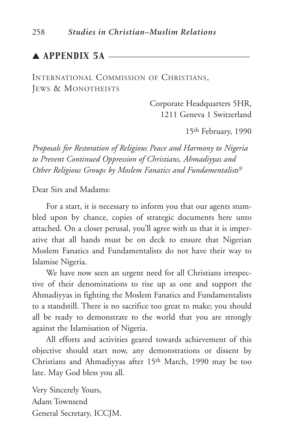# $\blacktriangle$  APPENDIX 5A  $\equiv$

INTERNATIONAL COMMISSION OF CHRISTIANS, JEWS & MONOTHEISTS

> Corporate Headquarters 5HR, 1211 Geneva 1 Switzerland

> > 15th February, 1990

*Proposals for Restoration of Religious Peace and Harmony to Nigeria to Prevent Continued Oppression of Christians, Ahmadiyyas and Other Religious Groups by Moslem Fanatics and Fundamentalists9*

Dear Sirs and Madams:

For a start, it is necessary to inform you that our agents stumbled upon by chance, copies of strategic documents here unto attached. On a closer perusal, you'll agree with us that it is imperative that all hands must be on deck to ensure that Nigerian Moslem Fanatics and Fundamentalists do not have their way to Islamise Nigeria.

We have now seen an urgent need for all Christians irrespective of their denominations to rise up as one and support the Ahmadiyyas in fighting the Moslem Fanatics and Fundamentalists to a standstill. There is no sacrifice too great to make; you should all be ready to demonstrate to the world that you are strongly against the Islamisation of Nigeria.

All efforts and activities geared towards achievement of this objective should start now, any demonstrations or dissent by Christians and Ahmadiyyas after 15th March, 1990 may be too late. May God bless you all.

Very Sincerely Yours, Adam Townsend General Secretary, ICCJM.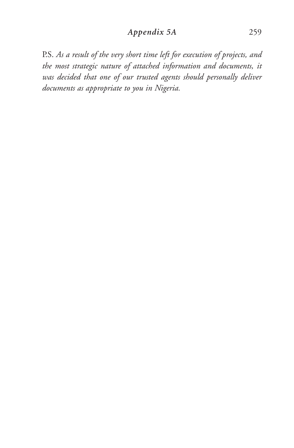# *Appendix 5A* 259

P.S. *As a result of the very short time left for execution of projects, and the most strategic nature of attached information and documents, it was decided that one of our trusted agents should personally deliver documents as appropriate to you in Nigeria.*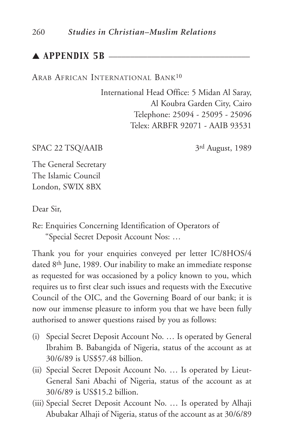# $\blacktriangle$  APPENDIX 5B  $\equiv$

ARAB AFRICAN INTERNATIONAL BANK10

International Head Office: 5 Midan Al Saray, Al Koubra Garden City, Cairo Telephone: 25094 - 25095 - 25096 Telex: ARBFR 92071 - AAIB 93531

SPAC 22 TSQ/AAIB 3rd August, 1989

The General Secretary The Islamic Council London, SWIX 8BX

Dear Sir,

Re: Enquiries Concerning Identification of Operators of "Special Secret Deposit Account Nos: …

Thank you for your enquiries conveyed per letter IC/8HOS/4 dated 8th June, 1989. Our inability to make an immediate response as requested for was occasioned by a policy known to you, which requires us to first clear such issues and requests with the Executive Council of the OIC, and the Governing Board of our bank; it is now our immense pleasure to inform you that we have been fully authorised to answer questions raised by you as follows:

- (i) Special Secret Deposit Account No. … Is operated by General Ibrahim B. Babangida of Nigeria, status of the account as at 30/6/89 is US\$57.48 billion.
- (ii) Special Secret Deposit Account No. … Is operated by Lieut-General Sani Abachi of Nigeria, status of the account as at 30/6/89 is US\$15.2 billion.
- (iii) Special Secret Deposit Account No. … Is operated by Alhaji Abubakar Alhaji of Nigeria, status of the account as at 30/6/89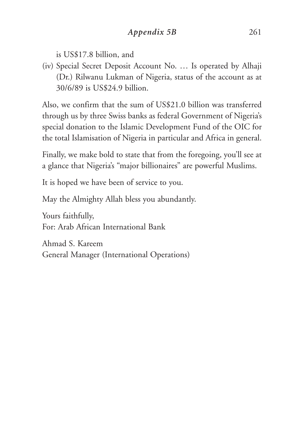is US\$17.8 billion, and

(iv) Special Secret Deposit Account No. … Is operated by Alhaji (Dr.) Rilwanu Lukman of Nigeria, status of the account as at 30/6/89 is US\$24.9 billion.

Also, we confirm that the sum of US\$21.0 billion was transferred through us by three Swiss banks as federal Government of Nigeria's special donation to the Islamic Development Fund of the OIC for the total Islamisation of Nigeria in particular and Africa in general.

Finally, we make bold to state that from the foregoing, you'll see at a glance that Nigeria's "major billionaires" are powerful Muslims.

It is hoped we have been of service to you.

May the Almighty Allah bless you abundantly.

Yours faithfully, For: Arab African International Bank

Ahmad S. Kareem General Manager (International Operations)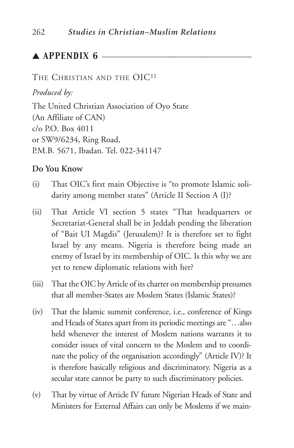# $\blacktriangle$  APPENDIX 6  $\equiv$

#### THE CHRISTIAN AND THE OIC<sup>11</sup>

*Produced by:*

The United Christian Association of Oyo State (An Affiliate of CAN)  $c/\alpha$  P.O. Box 4011 or SW9/6234, Ring Road, P.M.B. 5671, Ibadan. Tel. 022-341147

## **Do You Know**

- (i) That OIC's first main Objective is "to promote Islamic solidarity among member states" (Article II Section A (I)?
- (ii) That Article VI section 5 states "That headquarters or Secretariat-General shall be in Jeddah pending the liberation of "Bait UI Magdis" (Jerusalem)? It is therefore set to fight Israel by any means. Nigeria is therefore being made an enemy of Israel by its membership of OIC. Is this why we are yet to renew diplomatic relations with her?
- (iii) That the OIC by Article of its charter on membership presumes that all member-States are Moslem States (Islamic States)?
- (iv) That the Islamic summit conference, i.e., conference of Kings and Heads of States apart from its periodic meetings are "…also held whenever the interest of Moslem nations warrants it to consider issues of vital concern to the Moslem and to coordinate the policy of the organisation accordingly" (Article IV)? It is therefore basically religious and discriminatory. Nigeria as a secular state cannot be party to such discriminatory policies.
- (v) That by virtue of Article IV future Nigerian Heads of State and Ministers for External Affairs can only be Moslems if we main-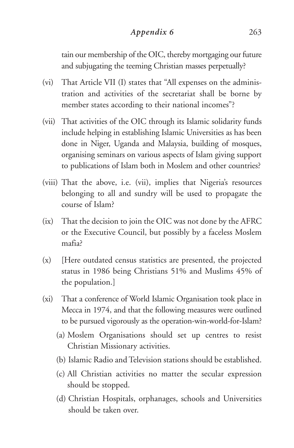# *Appendix 6* 263

tain our membership of the OIC, thereby mortgaging our future and subjugating the teeming Christian masses perpetually?

- (vi) That Article VII (I) states that "All expenses on the administration and activities of the secretariat shall be borne by member states according to their national incomes"?
- (vii) That activities of the OIC through its Islamic solidarity funds include helping in establishing Islamic Universities as has been done in Niger, Uganda and Malaysia, building of mosques, organising seminars on various aspects of Islam giving support to publications of Islam both in Moslem and other countries?
- (viii) That the above, i.e. (vii), implies that Nigeria's resources belonging to all and sundry will be used to propagate the course of Islam?
- (ix) That the decision to join the OIC was not done by the AFRC or the Executive Council, but possibly by a faceless Moslem mafia?
- (x) [Here outdated census statistics are presented, the projected status in 1986 being Christians 51% and Muslims 45% of the population.]
- (xi) That a conference of World Islamic Organisation took place in Mecca in 1974, and that the following measures were outlined to be pursued vigorously as the operation-win-world-for-Islam?
	- (a) Moslem Organisations should set up centres to resist Christian Missionary activities.
	- (b) Islamic Radio and Television stations should be established.
	- (c) All Christian activities no matter the secular expression should be stopped.
	- (d) Christian Hospitals, orphanages, schools and Universities should be taken over.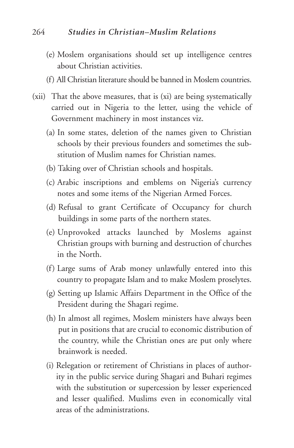#### 264 *Studies in Christian–Muslim Relations*

- (e) Moslem organisations should set up intelligence centres about Christian activities.
- (f) All Christian literature should be banned in Moslem countries.
- (xii) That the above measures, that is (xi) are being systematically carried out in Nigeria to the letter, using the vehicle of Government machinery in most instances viz.
	- (a) In some states, deletion of the names given to Christian schools by their previous founders and sometimes the substitution of Muslim names for Christian names.
	- (b) Taking over of Christian schools and hospitals.
	- (c) Arabic inscriptions and emblems on Nigeria's currency notes and some items of the Nigerian Armed Forces.
	- (d) Refusal to grant Certificate of Occupancy for church buildings in some parts of the northern states.
	- (e) Unprovoked attacks launched by Moslems against Christian groups with burning and destruction of churches in the North.
	- (f) Large sums of Arab money unlawfully entered into this country to propagate Islam and to make Moslem proselytes.
	- (g) Setting up Islamic Affairs Department in the Office of the President during the Shagari regime.
	- (h) In almost all regimes, Moslem ministers have always been put in positions that are crucial to economic distribution of the country, while the Christian ones are put only where brainwork is needed.
	- (i) Relegation or retirement of Christians in places of authority in the public service during Shagari and Buhari regimes with the substitution or supercession by lesser experienced and lesser qualified. Muslims even in economically vital areas of the administrations.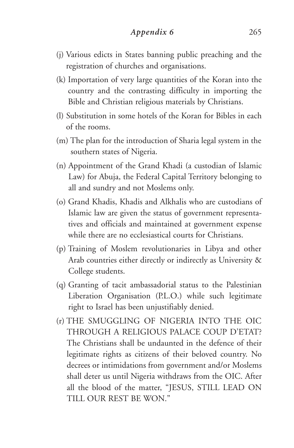- (j) Various edicts in States banning public preaching and the registration of churches and organisations.
- (k) Importation of very large quantities of the Koran into the country and the contrasting difficulty in importing the Bible and Christian religious materials by Christians.
- (l) Substitution in some hotels of the Koran for Bibles in each of the rooms.
- (m) The plan for the introduction of Sharia legal system in the southern states of Nigeria.
- (n) Appointment of the Grand Khadi (a custodian of Islamic Law) for Abuja, the Federal Capital Territory belonging to all and sundry and not Moslems only.
- (o) Grand Khadis, Khadis and Alkhalis who are custodians of Islamic law are given the status of government representatives and officials and maintained at government expense while there are no ecclesiastical courts for Christians.
- (p) Training of Moslem revolutionaries in Libya and other Arab countries either directly or indirectly as University & College students.
- (q) Granting of tacit ambassadorial status to the Palestinian Liberation Organisation (P.L.O.) while such legitimate right to Israel has been unjustifiably denied.
- (r) THE SMUGGLING OF NIGERIA INTO THE OIC THROUGH A RELIGIOUS PALACE COUP D'ETAT? The Christians shall be undaunted in the defence of their legitimate rights as citizens of their beloved country. No decrees or intimidations from government and/or Moslems shall deter us until Nigeria withdraws from the OIC. After all the blood of the matter, "JESUS, STILL LEAD ON TILL OUR REST BE WON."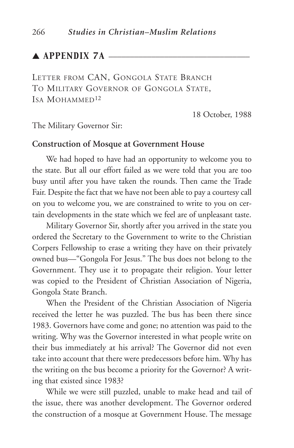# $\blacktriangle$  APPENDIX 7A  $\blacktriangle$

LETTER FROM CAN, GONGOLA STATE BRANCH TO MILITARY GOVERNOR OF GONGOLA STATE, ISA MOHAMMED12

18 October, 1988

The Military Governor Sir:

#### **Construction of Mosque at Government House**

We had hoped to have had an opportunity to welcome you to the state. But all our effort failed as we were told that you are too busy until after you have taken the rounds. Then came the Trade Fair. Despite the fact that we have not been able to pay a courtesy call on you to welcome you, we are constrained to write to you on certain developments in the state which we feel are of unpleasant taste.

Military Governor Sir, shortly after you arrived in the state you ordered the Secretary to the Government to write to the Christian Corpers Fellowship to erase a writing they have on their privately owned bus—"Gongola For Jesus." The bus does not belong to the Government. They use it to propagate their religion. Your letter was copied to the President of Christian Association of Nigeria, Gongola State Branch.

When the President of the Christian Association of Nigeria received the letter he was puzzled. The bus has been there since 1983. Governors have come and gone; no attention was paid to the writing. Why was the Governor interested in what people write on their bus immediately at his arrival? The Governor did not even take into account that there were predecessors before him. Why has the writing on the bus become a priority for the Governor? A writing that existed since 1983?

While we were still puzzled, unable to make head and tail of the issue, there was another development. The Governor ordered the construction of a mosque at Government House. The message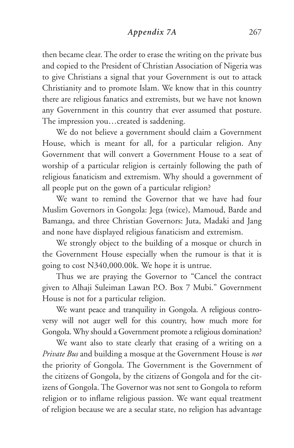## *Appendix 7A* 267

then became clear. The order to erase the writing on the private bus and copied to the President of Christian Association of Nigeria was to give Christians a signal that your Government is out to attack Christianity and to promote Islam. We know that in this country there are religious fanatics and extremists, but we have not known any Government in this country that ever assumed that posture. The impression you…created is saddening.

We do not believe a government should claim a Government House, which is meant for all, for a particular religion. Any Government that will convert a Government House to a seat of worship of a particular religion is certainly following the path of religious fanaticism and extremism. Why should a government of all people put on the gown of a particular religion?

We want to remind the Governor that we have had four Muslim Governors in Gongola: Jega (twice), Mamoud, Barde and Bamanga, and three Christian Governors: Juta, Madaki and Jang and none have displayed religious fanaticism and extremism.

We strongly object to the building of a mosque or church in the Government House especially when the rumour is that it is going to cost N340,000.00k. We hope it is untrue.

Thus we are praying the Governor to "Cancel the contract given to Alhaji Suleiman Lawan P.O. Box 7 Mubi." Government House is not for a particular religion.

We want peace and tranquility in Gongola. A religious controversy will not auger well for this country, how much more for Gongola. Why should a Government promote a religious domination?

We want also to state clearly that erasing of a writing on a *Private Bus* and building a mosque at the Government House is *not* the priority of Gongola. The Government is the Government of the citizens of Gongola, by the citizens of Gongola and for the citizens of Gongola. The Governor was not sent to Gongola to reform religion or to inflame religious passion. We want equal treatment of religion because we are a secular state, no religion has advantage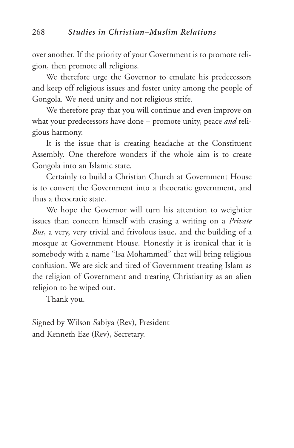over another. If the priority of your Government is to promote religion, then promote all religions.

We therefore urge the Governor to emulate his predecessors and keep off religious issues and foster unity among the people of Gongola. We need unity and not religious strife.

We therefore pray that you will continue and even improve on what your predecessors have done – promote unity, peace *and* religious harmony.

It is the issue that is creating headache at the Constituent Assembly. One therefore wonders if the whole aim is to create Gongola into an Islamic state.

Certainly to build a Christian Church at Government House is to convert the Government into a theocratic government, and thus a theocratic state.

We hope the Governor will turn his attention to weightier issues than concern himself with erasing a writing on a *Private Bus*, a very, very trivial and frivolous issue, and the building of a mosque at Government House. Honestly it is ironical that it is somebody with a name "Isa Mohammed" that will bring religious confusion. We are sick and tired of Government treating Islam as the religion of Government and treating Christianity as an alien religion to be wiped out.

Thank you.

Signed by Wilson Sabiya (Rev), President and Kenneth Eze (Rev), Secretary.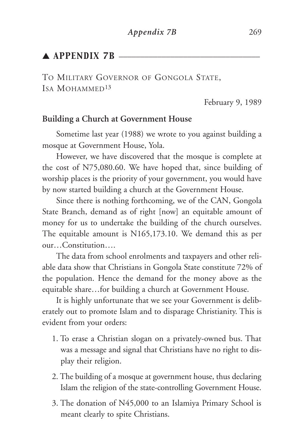# $\blacktriangle$  APPENDIX 7B  $\blacktriangle$

TO MILITARY GOVERNOR OF GONGOLA STATE, ISA MOHAMMED<sup>13</sup>

February 9, 1989

#### **Building a Church at Government House**

Sometime last year (1988) we wrote to you against building a mosque at Government House, Yola.

However, we have discovered that the mosque is complete at the cost of N75,080.60. We have hoped that, since building of worship places is the priority of your government, you would have by now started building a church at the Government House.

Since there is nothing forthcoming, we of the CAN, Gongola State Branch, demand as of right [now] an equitable amount of money for us to undertake the building of the church ourselves. The equitable amount is N165,173.10. We demand this as per our…Constitution….

The data from school enrolments and taxpayers and other reliable data show that Christians in Gongola State constitute 72% of the population. Hence the demand for the money above as the equitable share…for building a church at Government House.

It is highly unfortunate that we see your Government is deliberately out to promote Islam and to disparage Christianity. This is evident from your orders:

- 1. To erase a Christian slogan on a privately-owned bus. That was a message and signal that Christians have no right to display their religion.
- 2. The building of a mosque at government house, thus declaring Islam the religion of the state-controlling Government House.
- 3. The donation of N45,000 to an Islamiya Primary School is meant clearly to spite Christians.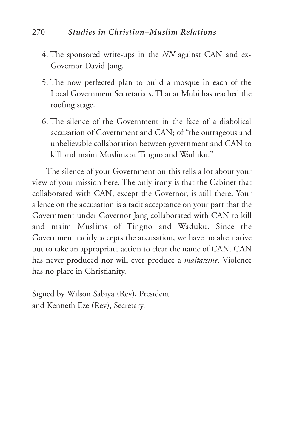# 270 *Studies in Christian–Muslim Relations*

- 4. The sponsored write-ups in the *NN* against CAN and ex-Governor David Jang.
- 5. The now perfected plan to build a mosque in each of the Local Government Secretariats. That at Mubi has reached the roofing stage.
- 6. The silence of the Government in the face of a diabolical accusation of Government and CAN; of "the outrageous and unbelievable collaboration between government and CAN to kill and maim Muslims at Tingno and Waduku."

The silence of your Government on this tells a lot about your view of your mission here. The only irony is that the Cabinet that collaborated with CAN, except the Governor, is still there. Your silence on the accusation is a tacit acceptance on your part that the Government under Governor Jang collaborated with CAN to kill and maim Muslims of Tingno and Waduku. Since the Government tacitly accepts the accusation, we have no alternative but to take an appropriate action to clear the name of CAN. CAN has never produced nor will ever produce a *maitatsine*. Violence has no place in Christianity.

Signed by Wilson Sabiya (Rev), President and Kenneth Eze (Rev), Secretary.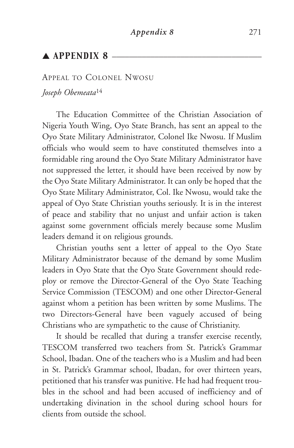# $\triangle$  APPENDIX 8  $\equiv$

## APPEAL TO COLONEL NWOSU

*Joseph Obemeata*<sup>14</sup>

The Education Committee of the Christian Association of Nigeria Youth Wing, Oyo State Branch, has sent an appeal to the Oyo State Military Administrator, Colonel Ike Nwosu. If Muslim officials who would seem to have constituted themselves into a formidable ring around the Oyo State Military Administrator have not suppressed the letter, it should have been received by now by the Oyo State Military Administrator. It can only be hoped that the Oyo State Military Administrator, Col. Ike Nwosu, would take the appeal of Oyo State Christian youths seriously. It is in the interest of peace and stability that no unjust and unfair action is taken against some government officials merely because some Muslim leaders demand it on religious grounds.

Christian youths sent a letter of appeal to the Oyo State Military Administrator because of the demand by some Muslim leaders in Oyo State that the Oyo State Government should redeploy or remove the Director-General of the Oyo State Teaching Service Commission (TESCOM) and one other Director-General against whom a petition has been written by some Muslims. The two Directors-General have been vaguely accused of being Christians who are sympathetic to the cause of Christianity.

It should be recalled that during a transfer exercise recently, TESCOM transferred two teachers from St. Patrick's Grammar School, Ibadan. One of the teachers who is a Muslim and had been in St. Patrick's Grammar school, Ibadan, for over thirteen years, petitioned that his transfer was punitive. He had had frequent troubles in the school and had been accused of inefficiency and of undertaking divination in the school during school hours for clients from outside the school.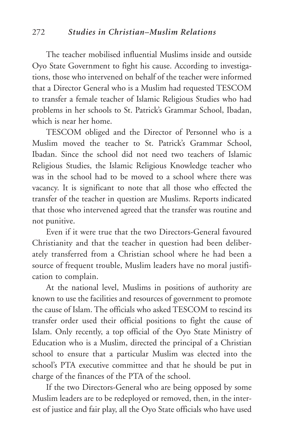The teacher mobilised influential Muslims inside and outside Oyo State Government to fight his cause. According to investigations, those who intervened on behalf of the teacher were informed that a Director General who is a Muslim had requested TESCOM to transfer a female teacher of Islamic Religious Studies who had problems in her schools to St. Patrick's Grammar School, Ibadan, which is near her home.

TESCOM obliged and the Director of Personnel who is a Muslim moved the teacher to St. Patrick's Grammar School, Ibadan. Since the school did not need two teachers of Islamic Religious Studies, the Islamic Religious Knowledge teacher who was in the school had to be moved to a school where there was vacancy. It is significant to note that all those who effected the transfer of the teacher in question are Muslims. Reports indicated that those who intervened agreed that the transfer was routine and not punitive.

Even if it were true that the two Directors-General favoured Christianity and that the teacher in question had been deliberately transferred from a Christian school where he had been a source of frequent trouble, Muslim leaders have no moral justification to complain.

At the national level, Muslims in positions of authority are known to use the facilities and resources of government to promote the cause of Islam. The officials who asked TESCOM to rescind its transfer order used their official positions to fight the cause of Islam. Only recently, a top official of the Oyo State Ministry of Education who is a Muslim, directed the principal of a Christian school to ensure that a particular Muslim was elected into the school's PTA executive committee and that he should be put in charge of the finances of the PTA of the school.

If the two Directors-General who are being opposed by some Muslim leaders are to be redeployed or removed, then, in the interest of justice and fair play, all the Oyo State officials who have used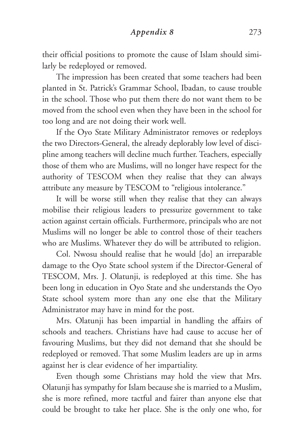*Appendix 8* 273

their official positions to promote the cause of Islam should similarly be redeployed or removed.

The impression has been created that some teachers had been planted in St. Patrick's Grammar School, Ibadan, to cause trouble in the school. Those who put them there do not want them to be moved from the school even when they have been in the school for too long and are not doing their work well.

If the Oyo State Military Administrator removes or redeploys the two Directors-General, the already deplorably low level of discipline among teachers will decline much further. Teachers, especially those of them who are Muslims, will no longer have respect for the authority of TESCOM when they realise that they can always attribute any measure by TESCOM to "religious intolerance."

It will be worse still when they realise that they can always mobilise their religious leaders to pressurize government to take action against certain officials. Furthermore, principals who are not Muslims will no longer be able to control those of their teachers who are Muslims. Whatever they do will be attributed to religion.

Col. Nwosu should realise that he would [do] an irreparable damage to the Oyo State school system if the Director-General of TESCOM, Mrs. J. Olatunji, is redeployed at this time. She has been long in education in Oyo State and she understands the Oyo State school system more than any one else that the Military Administrator may have in mind for the post.

Mrs. Olatunji has been impartial in handling the affairs of schools and teachers. Christians have had cause to accuse her of favouring Muslims, but they did not demand that she should be redeployed or removed. That some Muslim leaders are up in arms against her is clear evidence of her impartiality.

Even though some Christians may hold the view that Mrs. Olatunji has sympathy for Islam because she is married to a Muslim, she is more refined, more tactful and fairer than anyone else that could be brought to take her place. She is the only one who, for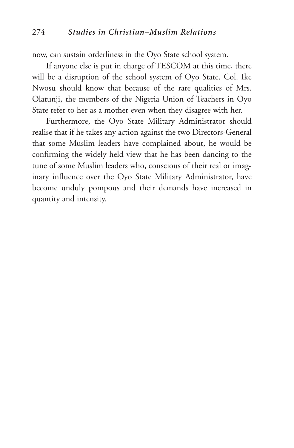now, can sustain orderliness in the Oyo State school system.

If anyone else is put in charge of TESCOM at this time, there will be a disruption of the school system of Oyo State. Col. Ike Nwosu should know that because of the rare qualities of Mrs. Olatunji, the members of the Nigeria Union of Teachers in Oyo State refer to her as a mother even when they disagree with her.

Furthermore, the Oyo State Military Administrator should realise that if he takes any action against the two Directors-General that some Muslim leaders have complained about, he would be confirming the widely held view that he has been dancing to the tune of some Muslim leaders who, conscious of their real or imaginary influence over the Oyo State Military Administrator, have become unduly pompous and their demands have increased in quantity and intensity.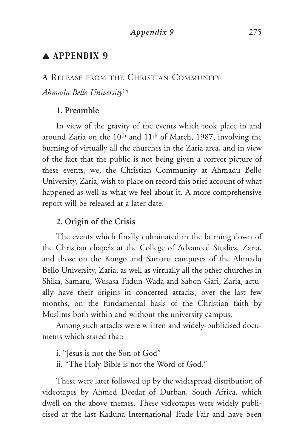# $\triangle$  APPENDIX 9  $\equiv$

A RELEASE FROM THE CHRISTIAN COMMUNITY

*Ahmadu Bello University*<sup>15</sup>

#### **1. Preamble**

In view of the gravity of the events which took place in and around Zaria on the 10th and 11th of March, 1987, involving the burning of virtually all the churches in the Zaria area, and in view of the fact that the public is not being given a correct picture of these events, we, the Christian Community at Ahmadu Bello University, Zaria, wish to place on record this brief account of what happened as well as what we feel about it. A more comprehensive report will be released at a later date.

## **2. Origin of the Crisis**

The events which finally culminated in the burning down of the Christian chapels at the College of Advanced Studies, Zaria, and those on the Kongo and Samaru campuses of the Ahmadu Bello University, Zaria, as well as virtually all the other churches in Shika, Samaru, Wusasa Tudun-Wada and Sabon-Gari, Zaria, actually have their origins in concerted attacks, over the last few months, on the fundamental basis of the Christian faith by Muslims both within and without the university campus.

Among such attacks were written and widely-publicised documents which stated that:

i. "Jesus is not the Son of God"

ii. "The Holy Bible is not the Word of God."

These were later followed up by the widespread distribution of videotapes by Ahmed Deedat of Durban, South Africa, which dwell on the above themes. These videotapes were widely publicised at the last Kaduna International Trade Fair and have been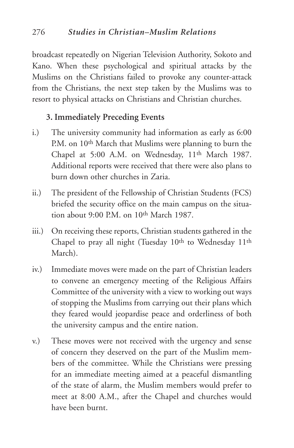broadcast repeatedly on Nigerian Television Authority, Sokoto and Kano. When these psychological and spiritual attacks by the Muslims on the Christians failed to provoke any counter-attack from the Christians, the next step taken by the Muslims was to resort to physical attacks on Christians and Christian churches.

# **3. Immediately Preceding Events**

- i.) The university community had information as early as 6:00 P.M. on 10<sup>th</sup> March that Muslims were planning to burn the Chapel at 5:00 A.M. on Wednesday, 11<sup>th</sup> March 1987. Additional reports were received that there were also plans to burn down other churches in Zaria.
- ii.) The president of the Fellowship of Christian Students (FCS) briefed the security office on the main campus on the situation about 9:00 P.M. on 10<sup>th</sup> March 1987.
- iii.) On receiving these reports, Christian students gathered in the Chapel to pray all night (Tuesday 10<sup>th</sup> to Wednesday 11<sup>th</sup> March).
- iv.) Immediate moves were made on the part of Christian leaders to convene an emergency meeting of the Religious Affairs Committee of the university with a view to working out ways of stopping the Muslims from carrying out their plans which they feared would jeopardise peace and orderliness of both the university campus and the entire nation.
- v.) These moves were not received with the urgency and sense of concern they deserved on the part of the Muslim members of the committee. While the Christians were pressing for an immediate meeting aimed at a peaceful dismantling of the state of alarm, the Muslim members would prefer to meet at 8:00 A.M., after the Chapel and churches would have been burnt.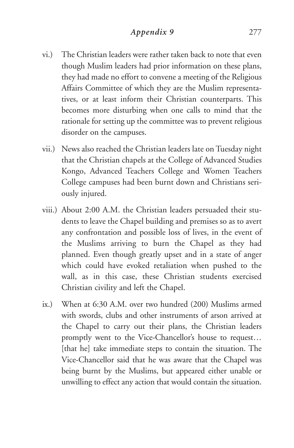- vi.) The Christian leaders were rather taken back to note that even though Muslim leaders had prior information on these plans, they had made no effort to convene a meeting of the Religious Affairs Committee of which they are the Muslim representatives, or at least inform their Christian counterparts. This becomes more disturbing when one calls to mind that the rationale for setting up the committee was to prevent religious disorder on the campuses.
- vii.) News also reached the Christian leaders late on Tuesday night that the Christian chapels at the College of Advanced Studies Kongo, Advanced Teachers College and Women Teachers College campuses had been burnt down and Christians seriously injured.
- viii.) About 2:00 A.M. the Christian leaders persuaded their students to leave the Chapel building and premises so as to avert any confrontation and possible loss of lives, in the event of the Muslims arriving to burn the Chapel as they had planned. Even though greatly upset and in a state of anger which could have evoked retaliation when pushed to the wall, as in this case, these Christian students exercised Christian civility and left the Chapel.
- ix.) When at 6:30 A.M. over two hundred (200) Muslims armed with swords, clubs and other instruments of arson arrived at the Chapel to carry out their plans, the Christian leaders promptly went to the Vice-Chancellor's house to request… [that he] take immediate steps to contain the situation. The Vice-Chancellor said that he was aware that the Chapel was being burnt by the Muslims, but appeared either unable or unwilling to effect any action that would contain the situation.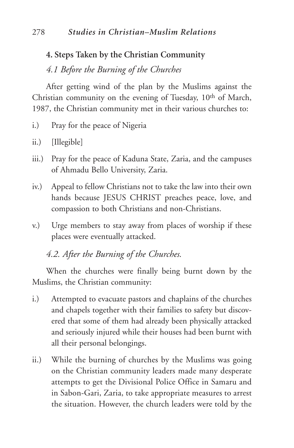# **4. Steps Taken by the Christian Community**

*4.1 Before the Burning of the Churches*

After getting wind of the plan by the Muslims against the Christian community on the evening of Tuesday, 10<sup>th</sup> of March, 1987, the Christian community met in their various churches to:

- i.) Pray for the peace of Nigeria
- ii.) [Illegible]
- iii.) Pray for the peace of Kaduna State, Zaria, and the campuses of Ahmadu Bello University, Zaria.
- iv.) Appeal to fellow Christians not to take the law into their own hands because JESUS CHRIST preaches peace, love, and compassion to both Christians and non-Christians.
- v.) Urge members to stay away from places of worship if these places were eventually attacked.

# *4.2. After the Burning of the Churches.*

When the churches were finally being burnt down by the Muslims, the Christian community:

- i.) Attempted to evacuate pastors and chaplains of the churches and chapels together with their families to safety but discovered that some of them had already been physically attacked and seriously injured while their houses had been burnt with all their personal belongings.
- ii.) While the burning of churches by the Muslims was going on the Christian community leaders made many desperate attempts to get the Divisional Police Office in Samaru and in Sabon-Gari, Zaria, to take appropriate measures to arrest the situation. However, the church leaders were told by the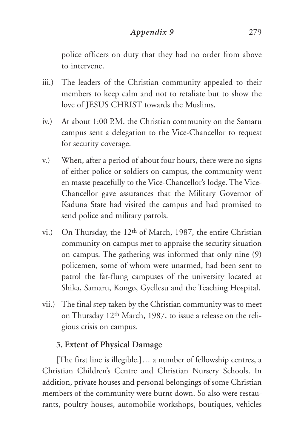# *Appendix 9* 279

police officers on duty that they had no order from above to intervene.

- iii.) The leaders of the Christian community appealed to their members to keep calm and not to retaliate but to show the love of JESUS CHRIST towards the Muslims.
- iv.) At about 1:00 P.M. the Christian community on the Samaru campus sent a delegation to the Vice-Chancellor to request for security coverage.
- v.) When, after a period of about four hours, there were no signs of either police or soldiers on campus, the community went en masse peacefully to the Vice-Chancellor's lodge. The Vice-Chancellor gave assurances that the Military Governor of Kaduna State had visited the campus and had promised to send police and military patrols.
- vi.) On Thursday, the 12th of March, 1987, the entire Christian community on campus met to appraise the security situation on campus. The gathering was informed that only nine (9) policemen, some of whom were unarmed, had been sent to patrol the far-flung campuses of the university located at Shika, Samaru, Kongo, Gyellesu and the Teaching Hospital.
- vii.) The final step taken by the Christian community was to meet on Thursday 12th March, 1987, to issue a release on the religious crisis on campus.

# **5. Extent of Physical Damage**

[The first line is illegible.]… a number of fellowship centres, a Christian Children's Centre and Christian Nursery Schools. In addition, private houses and personal belongings of some Christian members of the community were burnt down. So also were restaurants, poultry houses, automobile workshops, boutiques, vehicles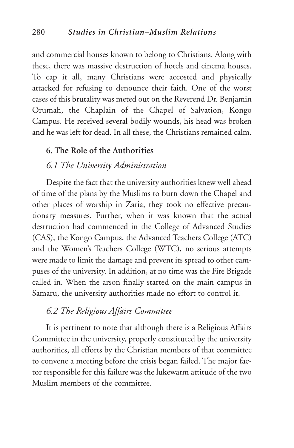and commercial houses known to belong to Christians. Along with these, there was massive destruction of hotels and cinema houses. To cap it all, many Christians were accosted and physically attacked for refusing to denounce their faith. One of the worst cases of this brutality was meted out on the Reverend Dr. Benjamin Orumah, the Chaplain of the Chapel of Salvation, Kongo Campus. He received several bodily wounds, his head was broken and he was left for dead. In all these, the Christians remained calm.

#### **6. The Role of the Authorities**

#### *6.1 The University Administration*

Despite the fact that the university authorities knew well ahead of time of the plans by the Muslims to burn down the Chapel and other places of worship in Zaria, they took no effective precautionary measures. Further, when it was known that the actual destruction had commenced in the College of Advanced Studies (CAS), the Kongo Campus, the Advanced Teachers College (ATC) and the Women's Teachers College (WTC), no serious attempts were made to limit the damage and prevent its spread to other campuses of the university. In addition, at no time was the Fire Brigade called in. When the arson finally started on the main campus in Samaru, the university authorities made no effort to control it.

# *6.2 The Religious Affairs Committee*

It is pertinent to note that although there is a Religious Affairs Committee in the university, properly constituted by the university authorities, all efforts by the Christian members of that committee to convene a meeting before the crisis began failed. The major factor responsible for this failure was the lukewarm attitude of the two Muslim members of the committee.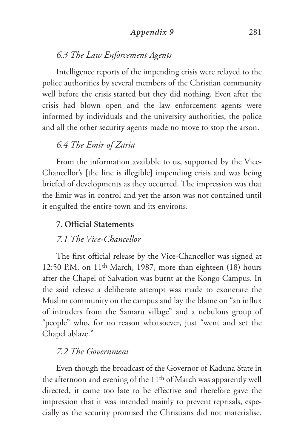## *Appendix 9* 281

# *6.3 The Law Enforcement Agents*

Intelligence reports of the impending crisis were relayed to the police authorities by several members of the Christian community well before the crisis started but they did nothing. Even after the crisis had blown open and the law enforcement agents were informed by individuals and the university authorities, the police and all the other security agents made no move to stop the arson.

# *6.4 The Emir of Zaria*

From the information available to us, supported by the Vice-Chancellor's [the line is illegible] impending crisis and was being briefed of developments as they occurred. The impression was that the Emir was in control and yet the arson was not contained until it engulfed the entire town and its environs.

# **7. Official Statements**

# *7.1 The Vice-Chancellor*

The first official release by the Vice-Chancellor was signed at 12:50 P.M. on 11th March, 1987, more than eighteen (18) hours after the Chapel of Salvation was burnt at the Kongo Campus. In the said release a deliberate attempt was made to exonerate the Muslim community on the campus and lay the blame on "an influx of intruders from the Samaru village" and a nebulous group of "people" who, for no reason whatsoever, just "went and set the Chapel ablaze."

## *7.2 The Government*

Even though the broadcast of the Governor of Kaduna State in the afternoon and evening of the 11th of March was apparently well directed, it came too late to be effective and therefore gave the impression that it was intended mainly to prevent reprisals, especially as the security promised the Christians did not materialise.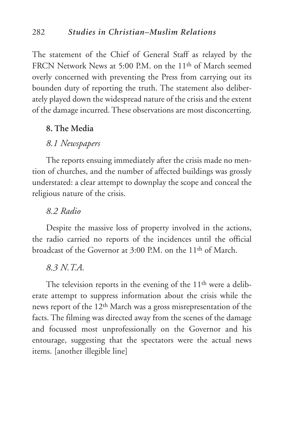The statement of the Chief of General Staff as relayed by the FRCN Network News at 5:00 P.M. on the 11<sup>th</sup> of March seemed overly concerned with preventing the Press from carrying out its bounden duty of reporting the truth. The statement also deliberately played down the widespread nature of the crisis and the extent of the damage incurred. These observations are most disconcerting.

## **8. The Media**

# *8.1 Newspapers*

The reports ensuing immediately after the crisis made no mention of churches, and the number of affected buildings was grossly understated: a clear attempt to downplay the scope and conceal the religious nature of the crisis.

# *8.2 Radio*

Despite the massive loss of property involved in the actions, the radio carried no reports of the incidences until the official broadcast of the Governor at 3:00 P.M. on the 11th of March.

#### *8.3 N.T.A.*

The television reports in the evening of the 11<sup>th</sup> were a deliberate attempt to suppress information about the crisis while the news report of the 12th March was a gross misrepresentation of the facts. The filming was directed away from the scenes of the damage and focussed most unprofessionally on the Governor and his entourage, suggesting that the spectators were the actual news items. [another illegible line]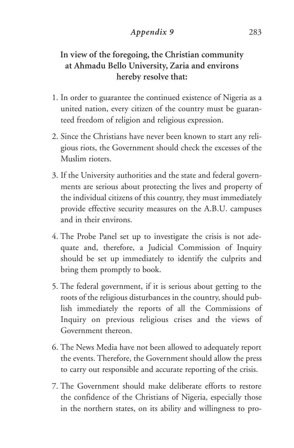# *Appendix 9* 283

# **In view of the foregoing, the Christian community at Ahmadu Bello University, Zaria and environs hereby resolve that:**

- 1. In order to guarantee the continued existence of Nigeria as a united nation, every citizen of the country must be guaranteed freedom of religion and religious expression.
- 2. Since the Christians have never been known to start any religious riots, the Government should check the excesses of the Muslim rioters.
- 3. If the University authorities and the state and federal governments are serious about protecting the lives and property of the individual citizens of this country, they must immediately provide effective security measures on the A.B.U. campuses and in their environs.
- 4. The Probe Panel set up to investigate the crisis is not adequate and, therefore, a Judicial Commission of Inquiry should be set up immediately to identify the culprits and bring them promptly to book.
- 5. The federal government, if it is serious about getting to the roots of the religious disturbances in the country, should publish immediately the reports of all the Commissions of Inquiry on previous religious crises and the views of Government thereon.
- 6. The News Media have not been allowed to adequately report the events. Therefore, the Government should allow the press to carry out responsible and accurate reporting of the crisis.
- 7. The Government should make deliberate efforts to restore the confidence of the Christians of Nigeria, especially those in the northern states, on its ability and willingness to pro-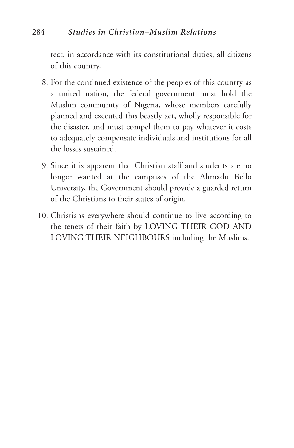tect, in accordance with its constitutional duties, all citizens of this country.

- 8. For the continued existence of the peoples of this country as a united nation, the federal government must hold the Muslim community of Nigeria, whose members carefully planned and executed this beastly act, wholly responsible for the disaster, and must compel them to pay whatever it costs to adequately compensate individuals and institutions for all the losses sustained.
- 9. Since it is apparent that Christian staff and students are no longer wanted at the campuses of the Ahmadu Bello University, the Government should provide a guarded return of the Christians to their states of origin.
- 10. Christians everywhere should continue to live according to the tenets of their faith by LOVING THEIR GOD AND LOVING THEIR NEIGHBOURS including the Muslims.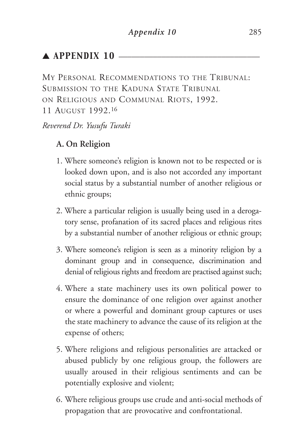# $\blacktriangle$  APPENDIX 10  $\blacktriangle$

MY PERSONAL RECOMMENDATIONS TO THE TRIBUNAL: SUBMISSION TO THE KADUNA STATE TRIBUNAL ON RELIGIOUS AND COMMUNAL RIOTS, 1992. 11 AUGUST 1992.16

## *Reverend Dr. Yusufu Turaki*

# **A. On Religion**

- 1. Where someone's religion is known not to be respected or is looked down upon, and is also not accorded any important social status by a substantial number of another religious or ethnic groups;
- 2. Where a particular religion is usually being used in a derogatory sense, profanation of its sacred places and religious rites by a substantial number of another religious or ethnic group;
- 3. Where someone's religion is seen as a minority religion by a dominant group and in consequence, discrimination and denial of religious rights and freedom are practised against such;
- 4. Where a state machinery uses its own political power to ensure the dominance of one religion over against another or where a powerful and dominant group captures or uses the state machinery to advance the cause of its religion at the expense of others;
- 5. Where religions and religious personalities are attacked or abused publicly by one religious group, the followers are usually aroused in their religious sentiments and can be potentially explosive and violent;
- 6. Where religious groups use crude and anti-social methods of propagation that are provocative and confrontational.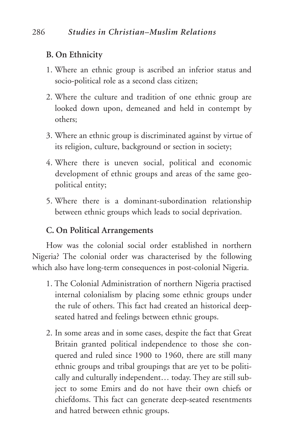# **B. On Ethnicity**

- 1. Where an ethnic group is ascribed an inferior status and socio-political role as a second class citizen;
- 2. Where the culture and tradition of one ethnic group are looked down upon, demeaned and held in contempt by others;
- 3. Where an ethnic group is discriminated against by virtue of its religion, culture, background or section in society;
- 4. Where there is uneven social, political and economic development of ethnic groups and areas of the same geopolitical entity;
- 5. Where there is a dominant-subordination relationship between ethnic groups which leads to social deprivation.

# **C. On Political Arrangements**

How was the colonial social order established in northern Nigeria? The colonial order was characterised by the following which also have long-term consequences in post-colonial Nigeria.

- 1. The Colonial Administration of northern Nigeria practised internal colonialism by placing some ethnic groups under the rule of others. This fact had created an historical deepseated hatred and feelings between ethnic groups.
- 2. In some areas and in some cases, despite the fact that Great Britain granted political independence to those she conquered and ruled since 1900 to 1960, there are still many ethnic groups and tribal groupings that are yet to be politically and culturally independent… today. They are still subject to some Emirs and do not have their own chiefs or chiefdoms. This fact can generate deep-seated resentments and hatred between ethnic groups.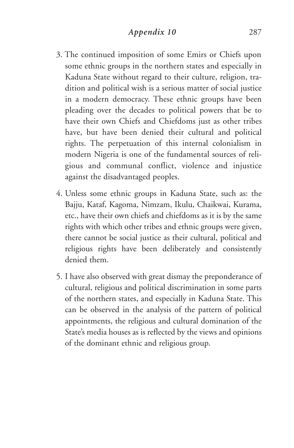- 3. The continued imposition of some Emirs or Chiefs upon some ethnic groups in the northern states and especially in Kaduna State without regard to their culture, religion, tradition and political wish is a serious matter of social justice in a modern democracy. These ethnic groups have been pleading over the decades to political powers that be to have their own Chiefs and Chiefdoms just as other tribes have, but have been denied their cultural and political rights. The perpetuation of this internal colonialism in modern Nigeria is one of the fundamental sources of religious and communal conflict, violence and injustice against the disadvantaged peoples.
- 4. Unless some ethnic groups in Kaduna State, such as: the Bajju, Kataf, Kagoma, Nimzam, Ikulu, Chaikwai, Kurama, etc., have their own chiefs and chiefdoms as it is by the same rights with which other tribes and ethnic groups were given, there cannot be social justice as their cultural, political and religious rights have been deliberately and consistently denied them.
- 5. I have also observed with great dismay the preponderance of cultural, religious and political discrimination in some parts of the northern states, and especially in Kaduna State. This can be observed in the analysis of the pattern of political appointments, the religious and cultural domination of the State's media houses as is reflected by the views and opinions of the dominant ethnic and religious group.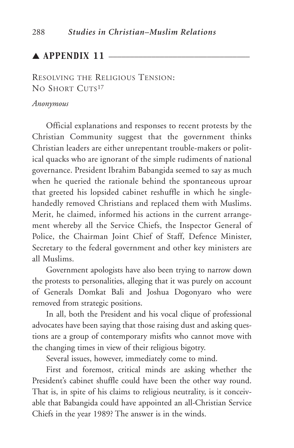# $\blacktriangle$  APPENDIX 11  $-$

RESOLVING THE RELIGIOUS TENSION: NO SHORT CUTS<sup>17</sup>

#### *Anonymous*

Official explanations and responses to recent protests by the Christian Community suggest that the government thinks Christian leaders are either unrepentant trouble-makers or political quacks who are ignorant of the simple rudiments of national governance. President Ibrahim Babangida seemed to say as much when he queried the rationale behind the spontaneous uproar that greeted his lopsided cabinet reshuffle in which he singlehandedly removed Christians and replaced them with Muslims. Merit, he claimed, informed his actions in the current arrangement whereby all the Service Chiefs, the Inspector General of Police, the Chairman Joint Chief of Staff, Defence Minister, Secretary to the federal government and other key ministers are all Muslims.

Government apologists have also been trying to narrow down the protests to personalities, alleging that it was purely on account of Generals Domkat Bali and Joshua Dogonyaro who were removed from strategic positions.

In all, both the President and his vocal clique of professional advocates have been saying that those raising dust and asking questions are a group of contemporary misfits who cannot move with the changing times in view of their religious bigotry.

Several issues, however, immediately come to mind.

First and foremost, critical minds are asking whether the President's cabinet shuffle could have been the other way round. That is, in spite of his claims to religious neutrality, is it conceivable that Babangida could have appointed an all-Christian Service Chiefs in the year 1989? The answer is in the winds.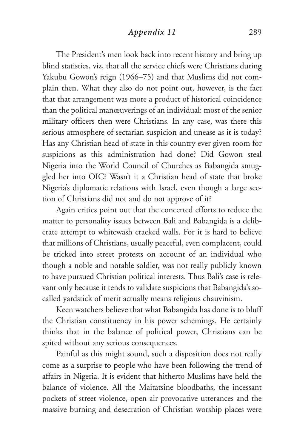## *Appendix 11* 289

The President's men look back into recent history and bring up blind statistics, viz, that all the service chiefs were Christians during Yakubu Gowon's reign (1966–75) and that Muslims did not complain then. What they also do not point out, however, is the fact that that arrangement was more a product of historical coincidence than the political manœuverings of an individual: most of the senior military officers then were Christians. In any case, was there this serious atmosphere of sectarian suspicion and unease as it is today? Has any Christian head of state in this country ever given room for suspicions as this administration had done? Did Gowon steal Nigeria into the World Council of Churches as Babangida smuggled her into OIC? Wasn't it a Christian head of state that broke Nigeria's diplomatic relations with Israel, even though a large section of Christians did not and do not approve of it?

Again critics point out that the concerted efforts to reduce the matter to personality issues between Bali and Babangida is a deliberate attempt to whitewash cracked walls. For it is hard to believe that millions of Christians, usually peaceful, even complacent, could be tricked into street protests on account of an individual who though a noble and notable soldier, was not really publicly known to have pursued Christian political interests. Thus Bali's case is relevant only because it tends to validate suspicions that Babangida's socalled yardstick of merit actually means religious chauvinism.

Keen watchers believe that what Babangida has done is to bluff the Christian constituency in his power schemings. He certainly thinks that in the balance of political power, Christians can be spited without any serious consequences.

Painful as this might sound, such a disposition does not really come as a surprise to people who have been following the trend of affairs in Nigeria. It is evident that hitherto Muslims have held the balance of violence. All the Maitatsine bloodbaths, the incessant pockets of street violence, open air provocative utterances and the massive burning and desecration of Christian worship places were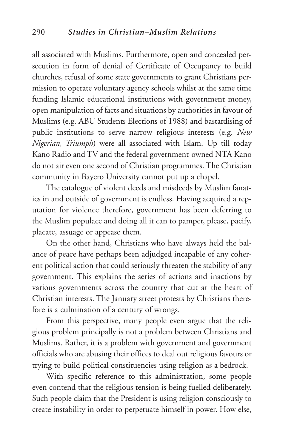all associated with Muslims. Furthermore, open and concealed persecution in form of denial of Certificate of Occupancy to build churches, refusal of some state governments to grant Christians permission to operate voluntary agency schools whilst at the same time funding Islamic educational institutions with government money, open manipulation of facts and situations by authorities in favour of Muslims (e.g. ABU Students Elections of 1988) and bastardising of public institutions to serve narrow religious interests (e.g. *New Nigerian, Triumph*) were all associated with Islam. Up till today Kano Radio and TV and the federal government-owned NTA Kano do not air even one second of Christian programmes. The Christian community in Bayero University cannot put up a chapel.

The catalogue of violent deeds and misdeeds by Muslim fanatics in and outside of government is endless. Having acquired a reputation for violence therefore, government has been deferring to the Muslim populace and doing all it can to pamper, please, pacify, placate, assuage or appease them.

On the other hand, Christians who have always held the balance of peace have perhaps been adjudged incapable of any coherent political action that could seriously threaten the stability of any government. This explains the series of actions and inactions by various governments across the country that cut at the heart of Christian interests. The January street protests by Christians therefore is a culmination of a century of wrongs.

From this perspective, many people even argue that the religious problem principally is not a problem between Christians and Muslims. Rather, it is a problem with government and government officials who are abusing their offices to deal out religious favours or trying to build political constituencies using religion as a bedrock.

With specific reference to this administration, some people even contend that the religious tension is being fuelled deliberately. Such people claim that the President is using religion consciously to create instability in order to perpetuate himself in power. How else,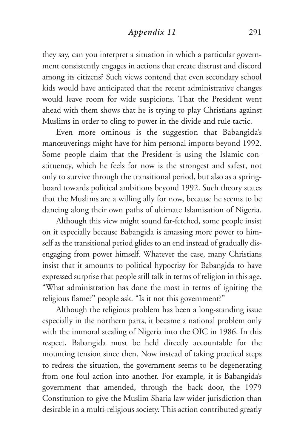## *Appendix 11* 291

they say, can you interpret a situation in which a particular government consistently engages in actions that create distrust and discord among its citizens? Such views contend that even secondary school kids would have anticipated that the recent administrative changes would leave room for wide suspicions. That the President went ahead with them shows that he is trying to play Christians against Muslims in order to cling to power in the divide and rule tactic.

Even more ominous is the suggestion that Babangida's manœuverings might have for him personal imports beyond 1992. Some people claim that the President is using the Islamic constituency, which he feels for now is the strongest and safest, not only to survive through the transitional period, but also as a springboard towards political ambitions beyond 1992. Such theory states that the Muslims are a willing ally for now, because he seems to be dancing along their own paths of ultimate Islamisation of Nigeria.

Although this view might sound far-fetched, some people insist on it especially because Babangida is amassing more power to himself as the transitional period glides to an end instead of gradually disengaging from power himself. Whatever the case, many Christians insist that it amounts to political hypocrisy for Babangida to have expressed surprise that people still talk in terms of religion in this age. "What administration has done the most in terms of igniting the religious flame?" people ask. "Is it not this government?"

Although the religious problem has been a long-standing issue especially in the northern parts, it became a national problem only with the immoral stealing of Nigeria into the OIC in 1986. In this respect, Babangida must be held directly accountable for the mounting tension since then. Now instead of taking practical steps to redress the situation, the government seems to be degenerating from one foul action into another. For example, it is Babangida's government that amended, through the back door, the 1979 Constitution to give the Muslim Sharia law wider jurisdiction than desirable in a multi-religious society. This action contributed greatly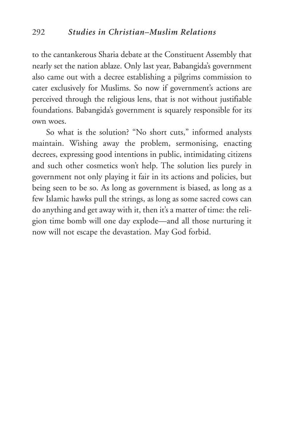to the cantankerous Sharia debate at the Constituent Assembly that nearly set the nation ablaze. Only last year, Babangida's government also came out with a decree establishing a pilgrims commission to cater exclusively for Muslims. So now if government's actions are perceived through the religious lens, that is not without justifiable foundations. Babangida's government is squarely responsible for its own woes.

So what is the solution? "No short cuts," informed analysts maintain. Wishing away the problem, sermonising, enacting decrees, expressing good intentions in public, intimidating citizens and such other cosmetics won't help. The solution lies purely in government not only playing it fair in its actions and policies, but being seen to be so. As long as government is biased, as long as a few Islamic hawks pull the strings, as long as some sacred cows can do anything and get away with it, then it's a matter of time: the religion time bomb will one day explode—and all those nurturing it now will not escape the devastation. May God forbid.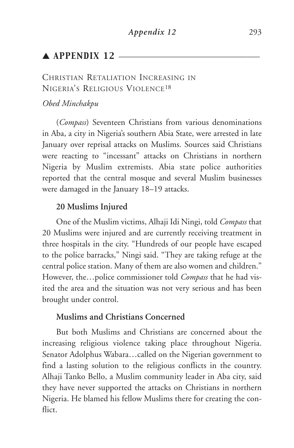# $\triangle$  APPENDIX 12  $\equiv$

# CHRISTIAN RETALIATION INCREASING IN NIGERIA'S RELIGIOUS VIOLENCE18

## *Obed Minchakpu*

(*Compass*) Seventeen Christians from various denominations in Aba, a city in Nigeria's southern Abia State, were arrested in late January over reprisal attacks on Muslims. Sources said Christians were reacting to "incessant" attacks on Christians in northern Nigeria by Muslim extremists. Abia state police authorities reported that the central mosque and several Muslim businesses were damaged in the January 18–19 attacks.

## **20 Muslims Injured**

One of the Muslim victims, Alhaji Idi Ningi, told *Compass* that 20 Muslims were injured and are currently receiving treatment in three hospitals in the city. "Hundreds of our people have escaped to the police barracks," Ningi said. "They are taking refuge at the central police station. Many of them are also women and children." However, the…police commissioner told *Compass* that he had visited the area and the situation was not very serious and has been brought under control.

# **Muslims and Christians Concerned**

But both Muslims and Christians are concerned about the increasing religious violence taking place throughout Nigeria. Senator Adolphus Wabara…called on the Nigerian government to find a lasting solution to the religious conflicts in the country. Alhaji Tanko Bello, a Muslim community leader in Aba city, said they have never supported the attacks on Christians in northern Nigeria. He blamed his fellow Muslims there for creating the conflict.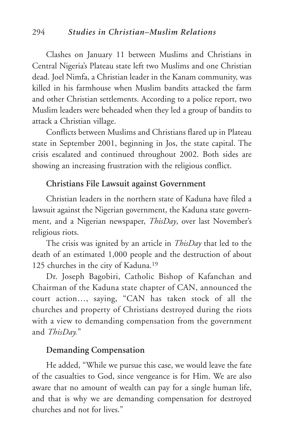Clashes on January 11 between Muslims and Christians in Central Nigeria's Plateau state left two Muslims and one Christian dead. Joel Nimfa, a Christian leader in the Kanam community, was killed in his farmhouse when Muslim bandits attacked the farm and other Christian settlements. According to a police report, two Muslim leaders were beheaded when they led a group of bandits to attack a Christian village.

Conflicts between Muslims and Christians flared up in Plateau state in September 2001, beginning in Jos, the state capital. The crisis escalated and continued throughout 2002. Both sides are showing an increasing frustration with the religious conflict.

## **Christians File Lawsuit against Government**

Christian leaders in the northern state of Kaduna have filed a lawsuit against the Nigerian government, the Kaduna state government, and a Nigerian newspaper, *ThisDay*, over last November's religious riots.

The crisis was ignited by an article in *ThisDay* that led to the death of an estimated 1,000 people and the destruction of about 125 churches in the city of Kaduna.19

Dr. Joseph Bagobiri, Catholic Bishop of Kafanchan and Chairman of the Kaduna state chapter of CAN, announced the court action…, saying, "CAN has taken stock of all the churches and property of Christians destroyed during the riots with a view to demanding compensation from the government and *ThisDay.*"

## **Demanding Compensation**

He added, "While we pursue this case, we would leave the fate of the casualties to God, since vengeance is for Him. We are also aware that no amount of wealth can pay for a single human life, and that is why we are demanding compensation for destroyed churches and not for lives."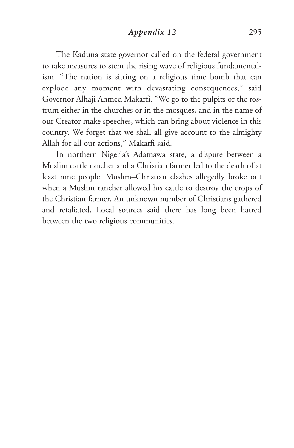## *Appendix 12* 295

The Kaduna state governor called on the federal government to take measures to stem the rising wave of religious fundamentalism. "The nation is sitting on a religious time bomb that can explode any moment with devastating consequences," said Governor Alhaji Ahmed Makarfi. "We go to the pulpits or the rostrum either in the churches or in the mosques, and in the name of our Creator make speeches, which can bring about violence in this country. We forget that we shall all give account to the almighty Allah for all our actions," Makarfi said.

In northern Nigeria's Adamawa state, a dispute between a Muslim cattle rancher and a Christian farmer led to the death of at least nine people. Muslim–Christian clashes allegedly broke out when a Muslim rancher allowed his cattle to destroy the crops of the Christian farmer. An unknown number of Christians gathered and retaliated. Local sources said there has long been hatred between the two religious communities.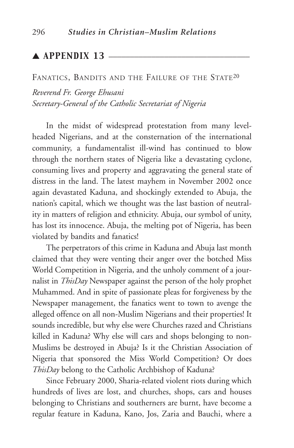# ▲ **APPENDIX 13** —

#### FANATICS, BANDITS AND THE FAILURE OF THE STATE<sup>20</sup>

*Reverend Fr. George Ehusani Secretary-General of the Catholic Secretariat of Nigeria* 

In the midst of widespread protestation from many levelheaded Nigerians, and at the consternation of the international community, a fundamentalist ill-wind has continued to blow through the northern states of Nigeria like a devastating cyclone, consuming lives and property and aggravating the general state of distress in the land. The latest mayhem in November 2002 once again devastated Kaduna, and shockingly extended to Abuja, the nation's capital, which we thought was the last bastion of neutrality in matters of religion and ethnicity. Abuja, our symbol of unity, has lost its innocence. Abuja, the melting pot of Nigeria, has been violated by bandits and fanatics!

The perpetrators of this crime in Kaduna and Abuja last month claimed that they were venting their anger over the botched Miss World Competition in Nigeria, and the unholy comment of a journalist in *ThisDay* Newspaper against the person of the holy prophet Muhammed. And in spite of passionate pleas for forgiveness by the Newspaper management, the fanatics went to town to avenge the alleged offence on all non-Muslim Nigerians and their properties! It sounds incredible, but why else were Churches razed and Christians killed in Kaduna? Why else will cars and shops belonging to non-Muslims be destroyed in Abuja? Is it the Christian Association of Nigeria that sponsored the Miss World Competition? Or does *ThisDay* belong to the Catholic Archbishop of Kaduna?

Since February 2000, Sharia-related violent riots during which hundreds of lives are lost, and churches, shops, cars and houses belonging to Christians and southerners are burnt, have become a regular feature in Kaduna, Kano, Jos, Zaria and Bauchi, where a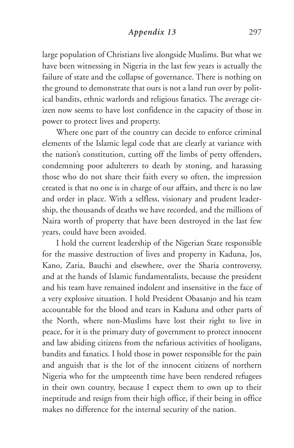## *Appendix 13* 297

large population of Christians live alongside Muslims. But what we have been witnessing in Nigeria in the last few years is actually the failure of state and the collapse of governance. There is nothing on the ground to demonstrate that ours is not a land run over by political bandits, ethnic warlords and religious fanatics. The average citizen now seems to have lost confidence in the capacity of those in power to protect lives and property.

Where one part of the country can decide to enforce criminal elements of the Islamic legal code that are clearly at variance with the nation's constitution, cutting off the limbs of petty offenders, condemning poor adulterers to death by stoning, and harassing those who do not share their faith every so often, the impression created is that no one is in charge of our affairs, and there is no law and order in place. With a selfless, visionary and prudent leadership, the thousands of deaths we have recorded, and the millions of Naira worth of property that have been destroyed in the last few years, could have been avoided.

I hold the current leadership of the Nigerian State responsible for the massive destruction of lives and property in Kaduna, Jos, Kano, Zaria, Bauchi and elsewhere, over the Sharia controversy, and at the hands of Islamic fundamentalists, because the president and his team have remained indolent and insensitive in the face of a very explosive situation. I hold President Obasanjo and his team accountable for the blood and tears in Kaduna and other parts of the North, where non-Muslims have lost their right to live in peace, for it is the primary duty of government to protect innocent and law abiding citizens from the nefarious activities of hooligans, bandits and fanatics. I hold those in power responsible for the pain and anguish that is the lot of the innocent citizens of northern Nigeria who for the umpteenth time have been rendered refugees in their own country, because I expect them to own up to their ineptitude and resign from their high office, if their being in office makes no difference for the internal security of the nation.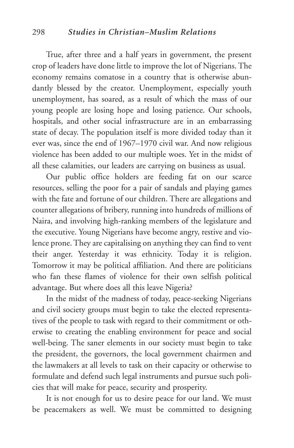True, after three and a half years in government, the present crop of leaders have done little to improve the lot of Nigerians. The economy remains comatose in a country that is otherwise abundantly blessed by the creator. Unemployment, especially youth unemployment, has soared, as a result of which the mass of our young people are losing hope and losing patience. Our schools, hospitals, and other social infrastructure are in an embarrassing state of decay. The population itself is more divided today than it ever was, since the end of 1967–1970 civil war. And now religious violence has been added to our multiple woes. Yet in the midst of all these calamities, our leaders are carrying on business as usual.

Our public office holders are feeding fat on our scarce resources, selling the poor for a pair of sandals and playing games with the fate and fortune of our children. There are allegations and counter allegations of bribery, running into hundreds of millions of Naira, and involving high-ranking members of the legislature and the executive. Young Nigerians have become angry, restive and violence prone. They are capitalising on anything they can find to vent their anger. Yesterday it was ethnicity. Today it is religion. Tomorrow it may be political affiliation. And there are politicians who fan these flames of violence for their own selfish political advantage. But where does all this leave Nigeria?

In the midst of the madness of today, peace-seeking Nigerians and civil society groups must begin to take the elected representatives of the people to task with regard to their commitment or otherwise to creating the enabling environment for peace and social well-being. The saner elements in our society must begin to take the president, the governors, the local government chairmen and the lawmakers at all levels to task on their capacity or otherwise to formulate and defend such legal instruments and pursue such policies that will make for peace, security and prosperity.

It is not enough for us to desire peace for our land. We must be peacemakers as well. We must be committed to designing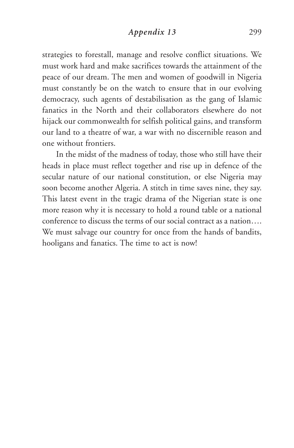strategies to forestall, manage and resolve conflict situations. We must work hard and make sacrifices towards the attainment of the peace of our dream. The men and women of goodwill in Nigeria must constantly be on the watch to ensure that in our evolving democracy, such agents of destabilisation as the gang of Islamic fanatics in the North and their collaborators elsewhere do not hijack our commonwealth for selfish political gains, and transform our land to a theatre of war, a war with no discernible reason and one without frontiers.

In the midst of the madness of today, those who still have their heads in place must reflect together and rise up in defence of the secular nature of our national constitution, or else Nigeria may soon become another Algeria. A stitch in time saves nine, they say. This latest event in the tragic drama of the Nigerian state is one more reason why it is necessary to hold a round table or a national conference to discuss the terms of our social contract as a nation…. We must salvage our country for once from the hands of bandits, hooligans and fanatics. The time to act is now!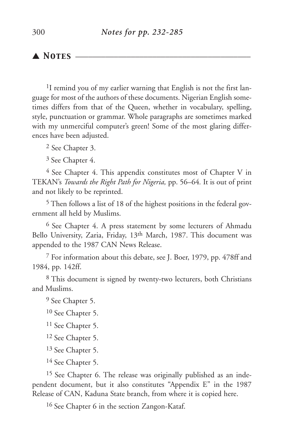# ▲ *Notes* \_\_\_\_\_\_\_\_\_\_\_\_\_\_\_\_\_\_\_\_\_\_\_\_\_\_\_\_\_\_\_\_\_\_\_\_\_\_\_\_\_

<sup>1</sup>I remind you of my earlier warning that English is not the first language for most of the authors of these documents. Nigerian English sometimes differs from that of the Queen, whether in vocabulary, spelling, style, punctuation or grammar. Whole paragraphs are sometimes marked with my unmerciful computer's green! Some of the most glaring differences have been adjusted.

2 See Chapter 3.

3 See Chapter 4.

<sup>4</sup> See Chapter 4. This appendix constitutes most of Chapter V in TEKAN's *Towards the Right Path for Nigeria,* pp. 56–64*.* It is out of print and not likely to be reprinted.

5 Then follows a list of 18 of the highest positions in the federal government all held by Muslims.

6 See Chapter 4. A press statement by some lecturers of Ahmadu Bello University, Zaria, Friday, 13th March, 1987. This document was appended to the 1987 CAN News Release.

7 For information about this debate, see J. Boer, 1979, pp. 478ff and 1984, pp. 142ff.

8 This document is signed by twenty-two lecturers, both Christians and Muslims.

9 See Chapter 5.

10 See Chapter 5.

11 See Chapter 5.

12 See Chapter 5.

13 See Chapter 5.

14 See Chapter 5.

15 See Chapter 6. The release was originally published as an independent document, but it also constitutes "Appendix E" in the 1987 Release of CAN, Kaduna State branch, from where it is copied here.

16 See Chapter 6 in the section Zangon-Kataf.